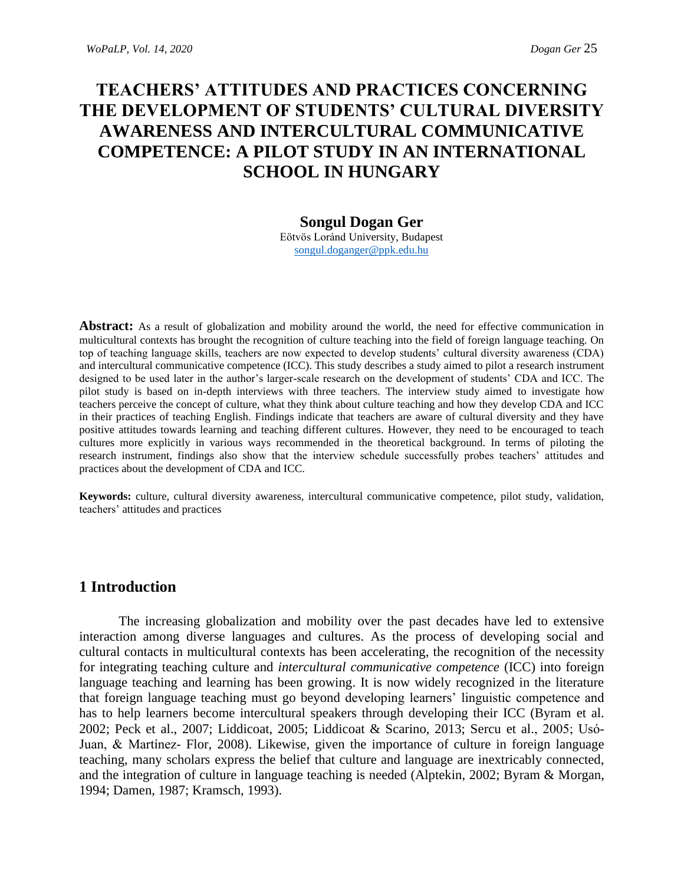# **TEACHERS' ATTITUDES AND PRACTICES CONCERNING THE DEVELOPMENT OF STUDENTS' CULTURAL DIVERSITY AWARENESS AND INTERCULTURAL COMMUNICATIVE COMPETENCE: A PILOT STUDY IN AN INTERNATIONAL SCHOOL IN HUNGARY**

#### **Songul Dogan Ger**

Eötvös Loránd University, Budapest [songul.doganger@ppk.edu.hu](mailto:songul.doganger@ppk.edu.hu)

**Abstract:** As a result of globalization and mobility around the world, the need for effective communication in multicultural contexts has brought the recognition of culture teaching into the field of foreign language teaching. On top of teaching language skills, teachers are now expected to develop students' cultural diversity awareness (CDA) and intercultural communicative competence (ICC). This study describes a study aimed to pilot a research instrument designed to be used later in the author's larger-scale research on the development of students' CDA and ICC. The pilot study is based on in-depth interviews with three teachers. The interview study aimed to investigate how teachers perceive the concept of culture, what they think about culture teaching and how they develop CDA and ICC in their practices of teaching English. Findings indicate that teachers are aware of cultural diversity and they have positive attitudes towards learning and teaching different cultures. However, they need to be encouraged to teach cultures more explicitly in various ways recommended in the theoretical background. In terms of piloting the research instrument, findings also show that the interview schedule successfully probes teachers' attitudes and practices about the development of CDA and ICC.

**Keywords:** culture, cultural diversity awareness, intercultural communicative competence, pilot study, validation, teachers' attitudes and practices

## **1 Introduction**

The increasing globalization and mobility over the past decades have led to extensive interaction among diverse languages and cultures. As the process of developing social and cultural contacts in multicultural contexts has been accelerating, the recognition of the necessity for integrating teaching culture and *intercultural communicative competence* (ICC) into foreign language teaching and learning has been growing. It is now widely recognized in the literature that foreign language teaching must go beyond developing learners' linguistic competence and has to help learners become intercultural speakers through developing their ICC (Byram et al. 2002; Peck et al., 2007; Liddicoat, 2005; Liddicoat & Scarino, 2013; Sercu et al., 2005; Usó-Juan, & Martínez- Flor, 2008). Likewise, given the importance of culture in foreign language teaching, many scholars express the belief that culture and language are inextricably connected, and the integration of culture in language teaching is needed (Alptekin, 2002; Byram & Morgan, 1994; Damen, 1987; Kramsch, 1993).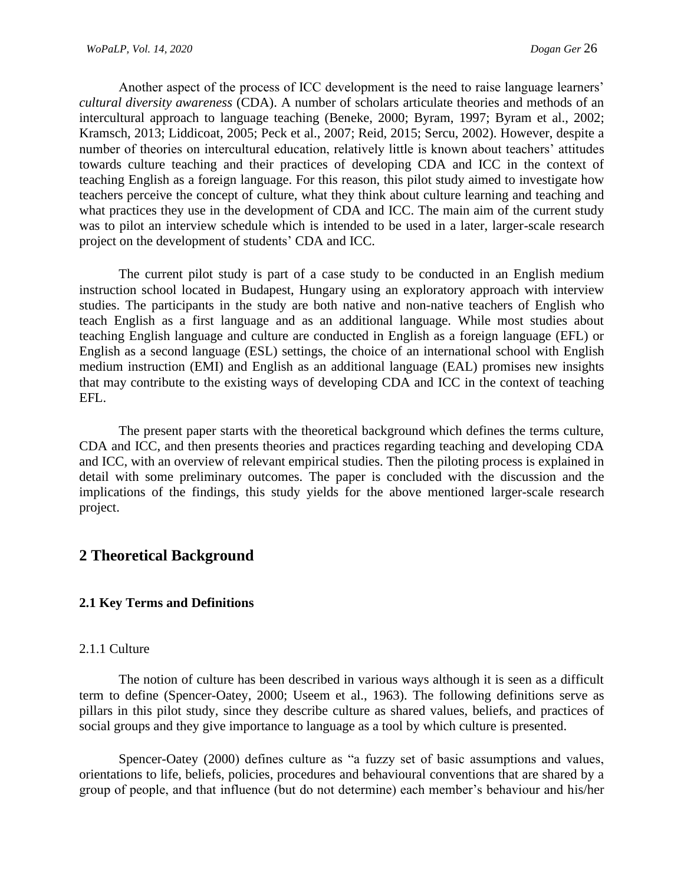Another aspect of the process of ICC development is the need to raise language learners' *cultural diversity awareness* (CDA). A number of scholars articulate theories and methods of an intercultural approach to language teaching (Beneke, 2000; Byram, 1997; Byram et al., 2002; Kramsch, 2013; Liddicoat, 2005; Peck et al., 2007; Reid, 2015; Sercu, 2002). However, despite a number of theories on intercultural education, relatively little is known about teachers' attitudes towards culture teaching and their practices of developing CDA and ICC in the context of teaching English as a foreign language. For this reason, this pilot study aimed to investigate how teachers perceive the concept of culture, what they think about culture learning and teaching and what practices they use in the development of CDA and ICC. The main aim of the current study was to pilot an interview schedule which is intended to be used in a later, larger-scale research project on the development of students' CDA and ICC.

The current pilot study is part of a case study to be conducted in an English medium instruction school located in Budapest, Hungary using an exploratory approach with interview studies. The participants in the study are both native and non-native teachers of English who teach English as a first language and as an additional language. While most studies about teaching English language and culture are conducted in English as a foreign language (EFL) or English as a second language (ESL) settings, the choice of an international school with English medium instruction (EMI) and English as an additional language (EAL) promises new insights that may contribute to the existing ways of developing CDA and ICC in the context of teaching EFL.

The present paper starts with the theoretical background which defines the terms culture, CDA and ICC, and then presents theories and practices regarding teaching and developing CDA and ICC, with an overview of relevant empirical studies. Then the piloting process is explained in detail with some preliminary outcomes. The paper is concluded with the discussion and the implications of the findings, this study yields for the above mentioned larger-scale research project.

# **2 Theoretical Background**

## **2.1 Key Terms and Definitions**

#### 2.1.1 Culture

The notion of culture has been described in various ways although it is seen as a difficult term to define (Spencer-Oatey, 2000; Useem et al., 1963). The following definitions serve as pillars in this pilot study, since they describe culture as shared values, beliefs, and practices of social groups and they give importance to language as a tool by which culture is presented.

Spencer-Oatey (2000) defines culture as "a fuzzy set of basic assumptions and values, orientations to life, beliefs, policies, procedures and behavioural conventions that are shared by a group of people, and that influence (but do not determine) each member's behaviour and his/her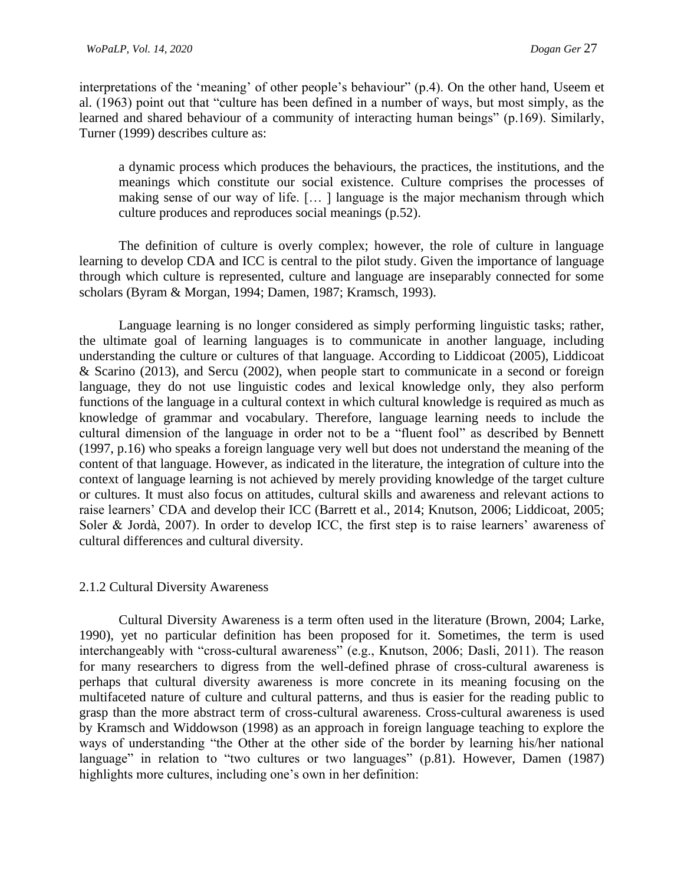interpretations of the 'meaning' of other people's behaviour" (p.4). On the other hand, Useem et al. (1963) point out that "culture has been defined in a number of ways, but most simply, as the learned and shared behaviour of a community of interacting human beings" (p.169). Similarly, Turner (1999) describes culture as:

a dynamic process which produces the behaviours, the practices, the institutions, and the meanings which constitute our social existence. Culture comprises the processes of making sense of our way of life. [… ] language is the major mechanism through which culture produces and reproduces social meanings (p.52).

The definition of culture is overly complex; however, the role of culture in language learning to develop CDA and ICC is central to the pilot study. Given the importance of language through which culture is represented, culture and language are inseparably connected for some scholars (Byram & Morgan, 1994; Damen, 1987; Kramsch, 1993).

Language learning is no longer considered as simply performing linguistic tasks; rather, the ultimate goal of learning languages is to communicate in another language, including understanding the culture or cultures of that language. According to Liddicoat (2005), Liddicoat & Scarino (2013), and Sercu (2002), when people start to communicate in a second or foreign language, they do not use linguistic codes and lexical knowledge only, they also perform functions of the language in a cultural context in which cultural knowledge is required as much as knowledge of grammar and vocabulary. Therefore, language learning needs to include the cultural dimension of the language in order not to be a "fluent fool" as described by Bennett (1997, p.16) who speaks a foreign language very well but does not understand the meaning of the content of that language. However, as indicated in the literature, the integration of culture into the context of language learning is not achieved by merely providing knowledge of the target culture or cultures. It must also focus on attitudes, cultural skills and awareness and relevant actions to raise learners' CDA and develop their ICC (Barrett et al., 2014; Knutson, 2006; Liddicoat, 2005; Soler & Jordà, 2007). In order to develop ICC, the first step is to raise learners' awareness of cultural differences and cultural diversity.

## 2.1.2 Cultural Diversity Awareness

Cultural Diversity Awareness is a term often used in the literature (Brown, 2004; Larke, 1990), yet no particular definition has been proposed for it. Sometimes, the term is used interchangeably with "cross-cultural awareness" (e.g., Knutson, 2006; Dasli, 2011). The reason for many researchers to digress from the well-defined phrase of cross-cultural awareness is perhaps that cultural diversity awareness is more concrete in its meaning focusing on the multifaceted nature of culture and cultural patterns, and thus is easier for the reading public to grasp than the more abstract term of cross-cultural awareness. Cross-cultural awareness is used by Kramsch and Widdowson (1998) as an approach in foreign language teaching to explore the ways of understanding "the Other at the other side of the border by learning his/her national language" in relation to "two cultures or two languages" (p.81). However, Damen (1987) highlights more cultures, including one's own in her definition: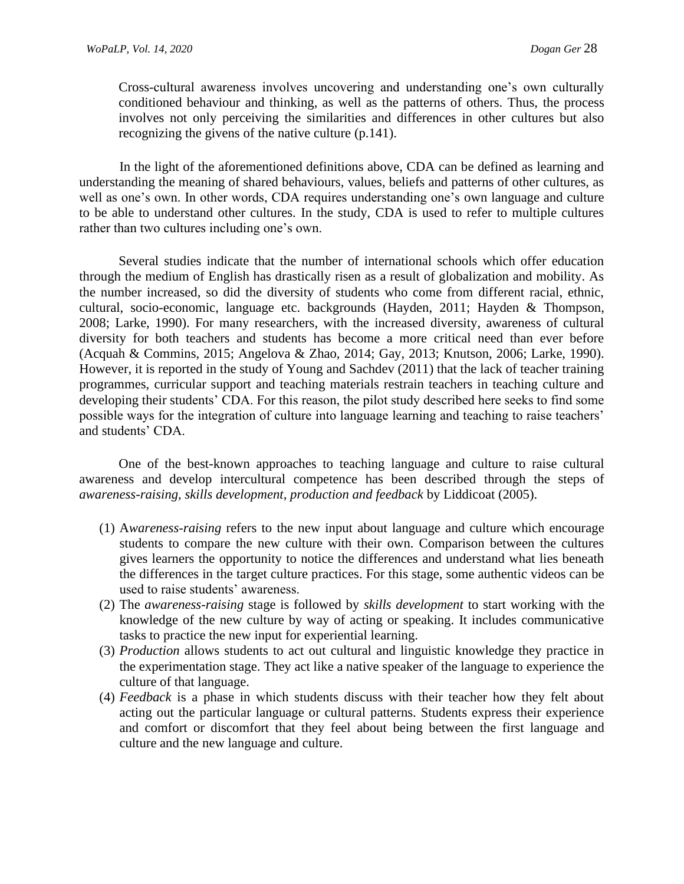Cross-cultural awareness involves uncovering and understanding one's own culturally conditioned behaviour and thinking, as well as the patterns of others. Thus, the process involves not only perceiving the similarities and differences in other cultures but also recognizing the givens of the native culture (p.141).

In the light of the aforementioned definitions above, CDA can be defined as learning and understanding the meaning of shared behaviours, values, beliefs and patterns of other cultures, as well as one's own. In other words, CDA requires understanding one's own language and culture to be able to understand other cultures. In the study, CDA is used to refer to multiple cultures rather than two cultures including one's own.

Several studies indicate that the number of international schools which offer education through the medium of English has drastically risen as a result of globalization and mobility. As the number increased, so did the diversity of students who come from different racial, ethnic, cultural, socio-economic, language etc. backgrounds (Hayden, 2011; Hayden & Thompson, 2008; Larke, 1990). For many researchers, with the increased diversity, awareness of cultural diversity for both teachers and students has become a more critical need than ever before (Acquah & Commins, 2015; Angelova & Zhao, 2014; Gay, 2013; Knutson, 2006; Larke, 1990). However, it is reported in the study of Young and Sachdev (2011) that the lack of teacher training programmes, curricular support and teaching materials restrain teachers in teaching culture and developing their students' CDA. For this reason, the pilot study described here seeks to find some possible ways for the integration of culture into language learning and teaching to raise teachers' and students' CDA.

One of the best-known approaches to teaching language and culture to raise cultural awareness and develop intercultural competence has been described through the steps of *awareness-raising, skills development, production and feedback* by Liddicoat (2005).

- (1) A*wareness-raising* refers to the new input about language and culture which encourage students to compare the new culture with their own. Comparison between the cultures gives learners the opportunity to notice the differences and understand what lies beneath the differences in the target culture practices. For this stage, some authentic videos can be used to raise students' awareness.
- (2) The *awareness-raising* stage is followed by *skills development* to start working with the knowledge of the new culture by way of acting or speaking. It includes communicative tasks to practice the new input for experiential learning.
- (3) *Production* allows students to act out cultural and linguistic knowledge they practice in the experimentation stage. They act like a native speaker of the language to experience the culture of that language.
- (4) *Feedback* is a phase in which students discuss with their teacher how they felt about acting out the particular language or cultural patterns. Students express their experience and comfort or discomfort that they feel about being between the first language and culture and the new language and culture.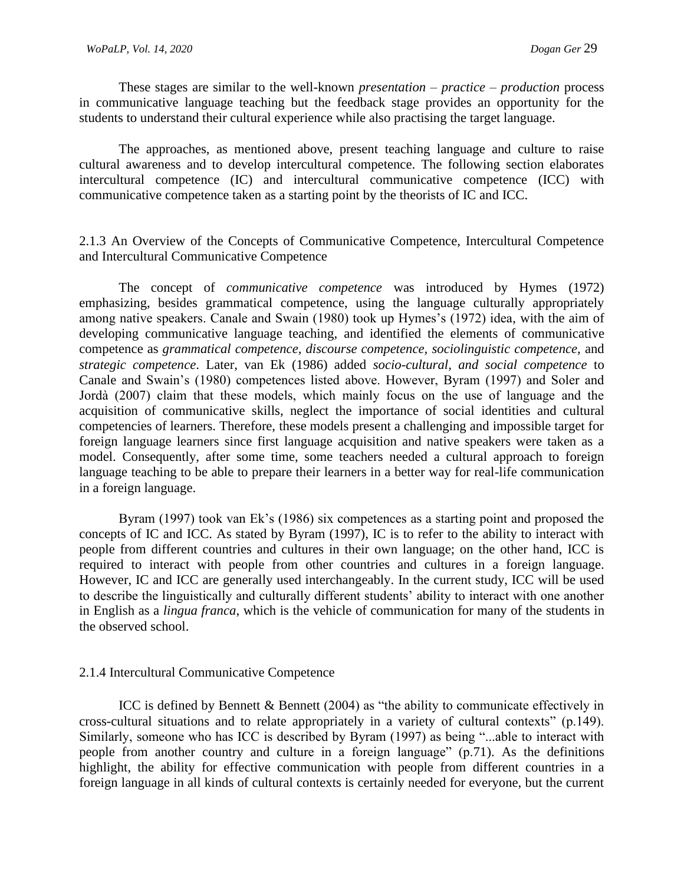These stages are similar to the well-known *presentation – practice – production* process in communicative language teaching but the feedback stage provides an opportunity for the students to understand their cultural experience while also practising the target language.

The approaches, as mentioned above, present teaching language and culture to raise cultural awareness and to develop intercultural competence. The following section elaborates intercultural competence (IC) and intercultural communicative competence (ICC) with communicative competence taken as a starting point by the theorists of IC and ICC.

# 2.1.3 An Overview of the Concepts of Communicative Competence, Intercultural Competence and Intercultural Communicative Competence

The concept of *communicative competence* was introduced by Hymes (1972) emphasizing, besides grammatical competence, using the language culturally appropriately among native speakers. Canale and Swain (1980) took up Hymes's (1972) idea, with the aim of developing communicative language teaching, and identified the elements of communicative competence as *grammatical competence, discourse competence, sociolinguistic competence,* and *strategic competence*. Later, van Ek (1986) added *socio-cultural, and social competence* to Canale and Swain's (1980) competences listed above. However, Byram (1997) and Soler and Jordà (2007) claim that these models, which mainly focus on the use of language and the acquisition of communicative skills, neglect the importance of social identities and cultural competencies of learners. Therefore, these models present a challenging and impossible target for foreign language learners since first language acquisition and native speakers were taken as a model. Consequently, after some time, some teachers needed a cultural approach to foreign language teaching to be able to prepare their learners in a better way for real-life communication in a foreign language.

Byram (1997) took van Ek's (1986) six competences as a starting point and proposed the concepts of IC and ICC. As stated by Byram (1997), IC is to refer to the ability to interact with people from different countries and cultures in their own language; on the other hand, ICC is required to interact with people from other countries and cultures in a foreign language. However, IC and ICC are generally used interchangeably. In the current study, ICC will be used to describe the linguistically and culturally different students' ability to interact with one another in English as a *lingua franca*, which is the vehicle of communication for many of the students in the observed school.

## 2.1.4 Intercultural Communicative Competence

ICC is defined by Bennett & Bennett (2004) as "the ability to communicate effectively in cross-cultural situations and to relate appropriately in a variety of cultural contexts" (p.149). Similarly, someone who has ICC is described by Byram (1997) as being "...able to interact with people from another country and culture in a foreign language" (p.71). As the definitions highlight, the ability for effective communication with people from different countries in a foreign language in all kinds of cultural contexts is certainly needed for everyone, but the current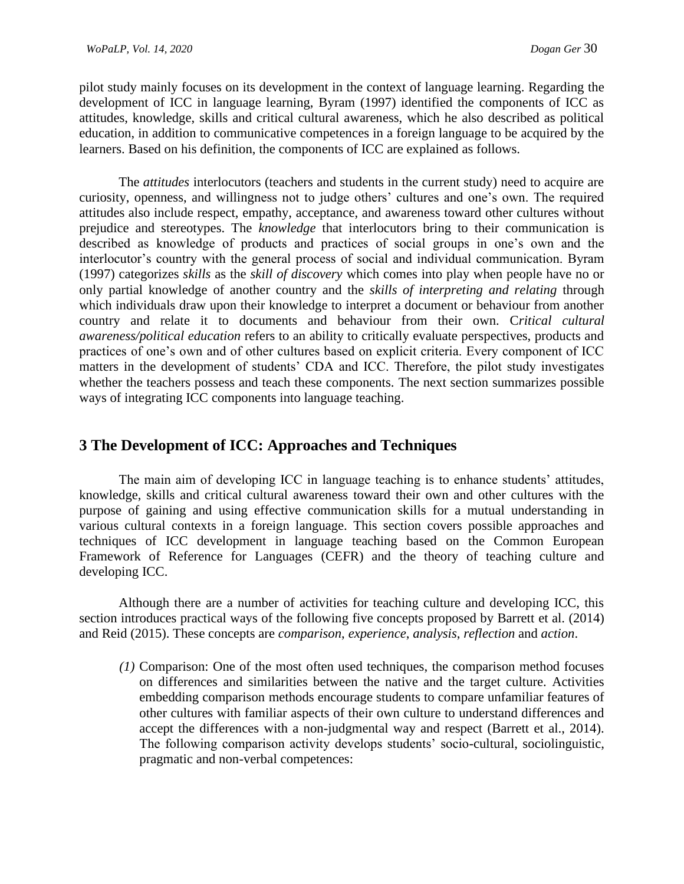pilot study mainly focuses on its development in the context of language learning. Regarding the development of ICC in language learning, Byram (1997) identified the components of ICC as attitudes, knowledge, skills and critical cultural awareness, which he also described as political education, in addition to communicative competences in a foreign language to be acquired by the learners. Based on his definition, the components of ICC are explained as follows.

The *attitudes* interlocutors (teachers and students in the current study) need to acquire are curiosity, openness, and willingness not to judge others' cultures and one's own. The required attitudes also include respect, empathy, acceptance, and awareness toward other cultures without prejudice and stereotypes. The *knowledge* that interlocutors bring to their communication is described as knowledge of products and practices of social groups in one's own and the interlocutor's country with the general process of social and individual communication. Byram (1997) categorizes *skills* as the *skill of discovery* which comes into play when people have no or only partial knowledge of another country and the *skills of interpreting and relating* through which individuals draw upon their knowledge to interpret a document or behaviour from another country and relate it to documents and behaviour from their own. C*ritical cultural awareness/political education* refers to an ability to critically evaluate perspectives, products and practices of one's own and of other cultures based on explicit criteria. Every component of ICC matters in the development of students' CDA and ICC. Therefore, the pilot study investigates whether the teachers possess and teach these components. The next section summarizes possible ways of integrating ICC components into language teaching.

# **3 The Development of ICC: Approaches and Techniques**

The main aim of developing ICC in language teaching is to enhance students' attitudes, knowledge, skills and critical cultural awareness toward their own and other cultures with the purpose of gaining and using effective communication skills for a mutual understanding in various cultural contexts in a foreign language. This section covers possible approaches and techniques of ICC development in language teaching based on the Common European Framework of Reference for Languages (CEFR) and the theory of teaching culture and developing ICC.

Although there are a number of activities for teaching culture and developing ICC, this section introduces practical ways of the following five concepts proposed by Barrett et al. (2014) and Reid (2015). These concepts are *comparison*, *experience*, *analysis*, *reflection* and *action*.

*(1)* Comparison: One of the most often used techniques, the comparison method focuses on differences and similarities between the native and the target culture. Activities embedding comparison methods encourage students to compare unfamiliar features of other cultures with familiar aspects of their own culture to understand differences and accept the differences with a non-judgmental way and respect (Barrett et al., 2014). The following comparison activity develops students' socio-cultural, sociolinguistic, pragmatic and non-verbal competences: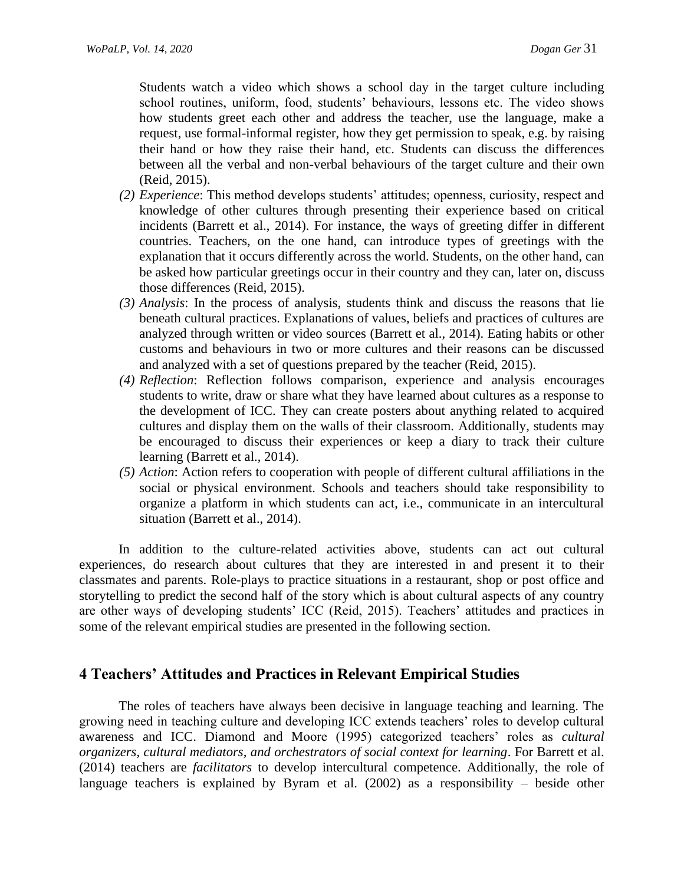Students watch a video which shows a school day in the target culture including school routines, uniform, food, students' behaviours, lessons etc. The video shows how students greet each other and address the teacher, use the language, make a request, use formal-informal register, how they get permission to speak, e.g. by raising their hand or how they raise their hand, etc. Students can discuss the differences between all the verbal and non-verbal behaviours of the target culture and their own (Reid, 2015).

- *(2) Experience*: This method develops students' attitudes; openness, curiosity, respect and knowledge of other cultures through presenting their experience based on critical incidents (Barrett et al., 2014). For instance, the ways of greeting differ in different countries. Teachers, on the one hand, can introduce types of greetings with the explanation that it occurs differently across the world. Students, on the other hand, can be asked how particular greetings occur in their country and they can, later on, discuss those differences (Reid, 2015).
- *(3) Analysis*: In the process of analysis, students think and discuss the reasons that lie beneath cultural practices. Explanations of values, beliefs and practices of cultures are analyzed through written or video sources (Barrett et al., 2014). Eating habits or other customs and behaviours in two or more cultures and their reasons can be discussed and analyzed with a set of questions prepared by the teacher (Reid, 2015).
- *(4) Reflection*: Reflection follows comparison, experience and analysis encourages students to write, draw or share what they have learned about cultures as a response to the development of ICC. They can create posters about anything related to acquired cultures and display them on the walls of their classroom. Additionally, students may be encouraged to discuss their experiences or keep a diary to track their culture learning (Barrett et al., 2014).
- *(5) Action*: Action refers to cooperation with people of different cultural affiliations in the social or physical environment. Schools and teachers should take responsibility to organize a platform in which students can act, i.e., communicate in an intercultural situation (Barrett et al., 2014).

In addition to the culture-related activities above, students can act out cultural experiences, do research about cultures that they are interested in and present it to their classmates and parents. Role-plays to practice situations in a restaurant, shop or post office and storytelling to predict the second half of the story which is about cultural aspects of any country are other ways of developing students' ICC (Reid, 2015). Teachers' attitudes and practices in some of the relevant empirical studies are presented in the following section.

# **4 Teachers' Attitudes and Practices in Relevant Empirical Studies**

The roles of teachers have always been decisive in language teaching and learning. The growing need in teaching culture and developing ICC extends teachers' roles to develop cultural awareness and ICC. Diamond and Moore (1995) categorized teachers' roles as *cultural organizers, cultural mediators, and orchestrators of social context for learning*. For Barrett et al. (2014) teachers are *facilitators* to develop intercultural competence. Additionally, the role of language teachers is explained by Byram et al. (2002) as a responsibility – beside other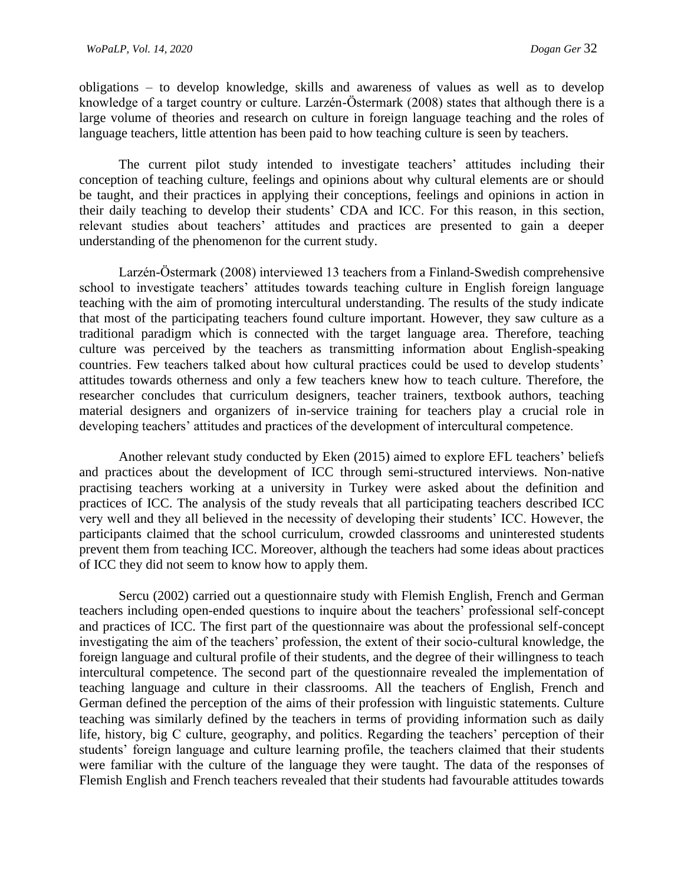obligations – to develop knowledge, skills and awareness of values as well as to develop knowledge of a target country or culture. Larzén-Östermark (2008) states that although there is a large volume of theories and research on culture in foreign language teaching and the roles of language teachers, little attention has been paid to how teaching culture is seen by teachers.

The current pilot study intended to investigate teachers' attitudes including their conception of teaching culture, feelings and opinions about why cultural elements are or should be taught, and their practices in applying their conceptions, feelings and opinions in action in their daily teaching to develop their students' CDA and ICC. For this reason, in this section, relevant studies about teachers' attitudes and practices are presented to gain a deeper understanding of the phenomenon for the current study.

Larzén-Östermark (2008) interviewed 13 teachers from a Finland-Swedish comprehensive school to investigate teachers' attitudes towards teaching culture in English foreign language teaching with the aim of promoting intercultural understanding. The results of the study indicate that most of the participating teachers found culture important. However, they saw culture as a traditional paradigm which is connected with the target language area. Therefore, teaching culture was perceived by the teachers as transmitting information about English-speaking countries. Few teachers talked about how cultural practices could be used to develop students' attitudes towards otherness and only a few teachers knew how to teach culture. Therefore, the researcher concludes that curriculum designers, teacher trainers, textbook authors, teaching material designers and organizers of in-service training for teachers play a crucial role in developing teachers' attitudes and practices of the development of intercultural competence.

Another relevant study conducted by Eken (2015) aimed to explore EFL teachers' beliefs and practices about the development of ICC through semi-structured interviews. Non-native practising teachers working at a university in Turkey were asked about the definition and practices of ICC. The analysis of the study reveals that all participating teachers described ICC very well and they all believed in the necessity of developing their students' ICC. However, the participants claimed that the school curriculum, crowded classrooms and uninterested students prevent them from teaching ICC. Moreover, although the teachers had some ideas about practices of ICC they did not seem to know how to apply them.

Sercu (2002) carried out a questionnaire study with Flemish English, French and German teachers including open-ended questions to inquire about the teachers' professional self-concept and practices of ICC. The first part of the questionnaire was about the professional self-concept investigating the aim of the teachers' profession, the extent of their socio-cultural knowledge, the foreign language and cultural profile of their students, and the degree of their willingness to teach intercultural competence. The second part of the questionnaire revealed the implementation of teaching language and culture in their classrooms. All the teachers of English, French and German defined the perception of the aims of their profession with linguistic statements. Culture teaching was similarly defined by the teachers in terms of providing information such as daily life, history, big C culture, geography, and politics. Regarding the teachers' perception of their students' foreign language and culture learning profile, the teachers claimed that their students were familiar with the culture of the language they were taught. The data of the responses of Flemish English and French teachers revealed that their students had favourable attitudes towards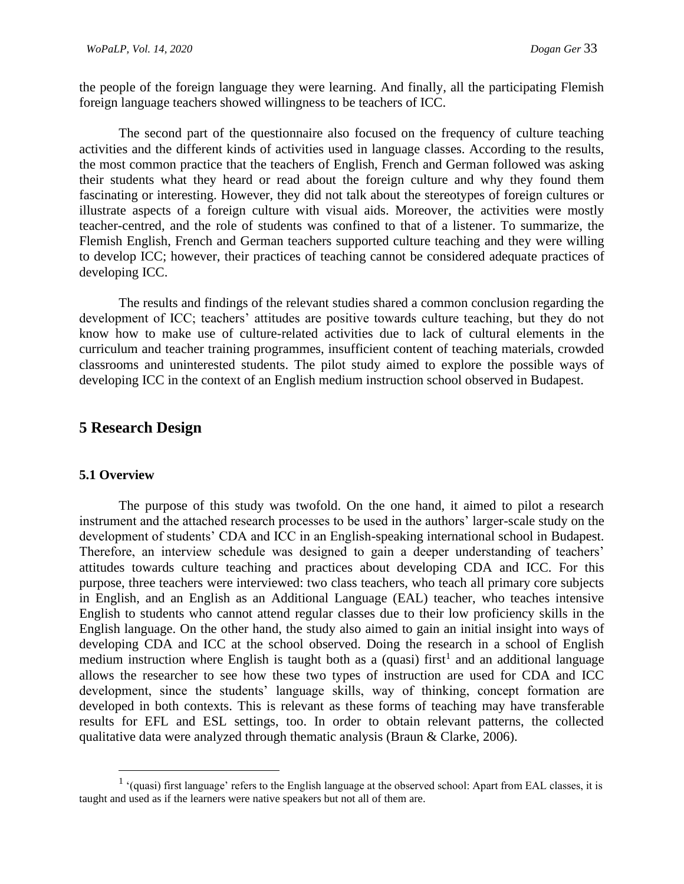the people of the foreign language they were learning. And finally, all the participating Flemish foreign language teachers showed willingness to be teachers of ICC.

The second part of the questionnaire also focused on the frequency of culture teaching activities and the different kinds of activities used in language classes. According to the results, the most common practice that the teachers of English, French and German followed was asking their students what they heard or read about the foreign culture and why they found them fascinating or interesting. However, they did not talk about the stereotypes of foreign cultures or illustrate aspects of a foreign culture with visual aids. Moreover, the activities were mostly teacher-centred, and the role of students was confined to that of a listener. To summarize, the Flemish English, French and German teachers supported culture teaching and they were willing to develop ICC; however, their practices of teaching cannot be considered adequate practices of developing ICC.

The results and findings of the relevant studies shared a common conclusion regarding the development of ICC; teachers' attitudes are positive towards culture teaching, but they do not know how to make use of culture-related activities due to lack of cultural elements in the curriculum and teacher training programmes, insufficient content of teaching materials, crowded classrooms and uninterested students. The pilot study aimed to explore the possible ways of developing ICC in the context of an English medium instruction school observed in Budapest.

## **5 Research Design**

#### **5.1 Overview**

The purpose of this study was twofold. On the one hand, it aimed to pilot a research instrument and the attached research processes to be used in the authors' larger-scale study on the development of students' CDA and ICC in an English-speaking international school in Budapest. Therefore, an interview schedule was designed to gain a deeper understanding of teachers' attitudes towards culture teaching and practices about developing CDA and ICC. For this purpose, three teachers were interviewed: two class teachers, who teach all primary core subjects in English, and an English as an Additional Language (EAL) teacher, who teaches intensive English to students who cannot attend regular classes due to their low proficiency skills in the English language. On the other hand, the study also aimed to gain an initial insight into ways of developing CDA and ICC at the school observed. Doing the research in a school of English medium instruction where English is taught both as a (quasi) first<sup>1</sup> and an additional language allows the researcher to see how these two types of instruction are used for CDA and ICC development, since the students' language skills, way of thinking, concept formation are developed in both contexts. This is relevant as these forms of teaching may have transferable results for EFL and ESL settings, too. In order to obtain relevant patterns, the collected qualitative data were analyzed through thematic analysis (Braun & Clarke, 2006).

<sup>&</sup>lt;sup>1</sup> '(quasi) first language' refers to the English language at the observed school: Apart from EAL classes, it is taught and used as if the learners were native speakers but not all of them are.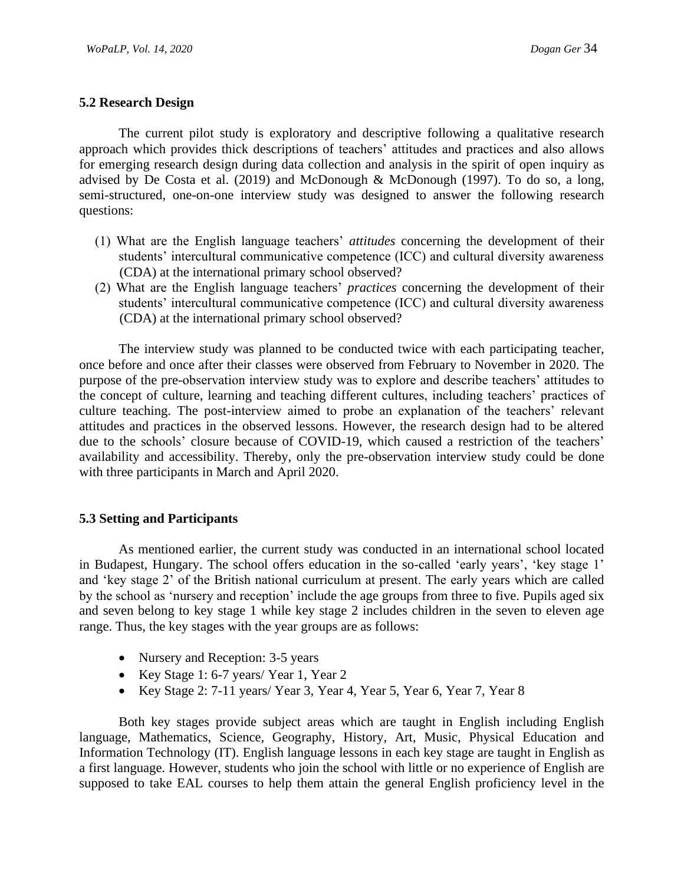## **5.2 Research Design**

The current pilot study is exploratory and descriptive following a qualitative research approach which provides thick descriptions of teachers' attitudes and practices and also allows for emerging research design during data collection and analysis in the spirit of open inquiry as advised by De Costa et al. (2019) and McDonough & McDonough (1997). To do so, a long, semi-structured, one-on-one interview study was designed to answer the following research questions:

- (1) What are the English language teachers' *attitudes* concerning the development of their students' intercultural communicative competence (ICC) and cultural diversity awareness (CDA) at the international primary school observed?
- (2) What are the English language teachers' *practices* concerning the development of their students' intercultural communicative competence (ICC) and cultural diversity awareness (CDA) at the international primary school observed?

The interview study was planned to be conducted twice with each participating teacher, once before and once after their classes were observed from February to November in 2020. The purpose of the pre-observation interview study was to explore and describe teachers' attitudes to the concept of culture, learning and teaching different cultures, including teachers' practices of culture teaching. The post-interview aimed to probe an explanation of the teachers' relevant attitudes and practices in the observed lessons. However, the research design had to be altered due to the schools' closure because of COVID-19, which caused a restriction of the teachers' availability and accessibility. Thereby, only the pre-observation interview study could be done with three participants in March and April 2020.

## **5.3 Setting and Participants**

As mentioned earlier, the current study was conducted in an international school located in Budapest, Hungary. The school offers education in the so-called 'early years', 'key stage 1' and 'key stage 2' of the British national curriculum at present. The early years which are called by the school as 'nursery and reception' include the age groups from three to five. Pupils aged six and seven belong to key stage 1 while key stage 2 includes children in the seven to eleven age range. Thus, the key stages with the year groups are as follows:

- Nursery and Reception: 3-5 years
- Key Stage 1: 6-7 years/ Year 1, Year 2
- Key Stage 2: 7-11 years/ Year 3, Year 4, Year 5, Year 6, Year 7, Year 8

Both key stages provide subject areas which are taught in English including English language, Mathematics, Science, Geography, History, Art, Music, Physical Education and Information Technology (IT). English language lessons in each key stage are taught in English as a first language. However, students who join the school with little or no experience of English are supposed to take EAL courses to help them attain the general English proficiency level in the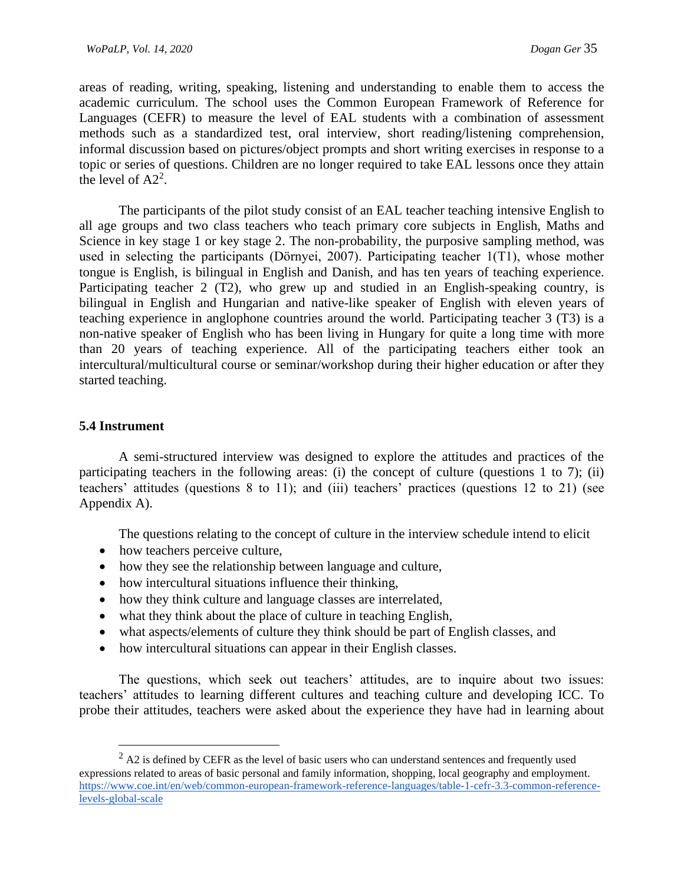areas of reading, writing, speaking, listening and understanding to enable them to access the academic curriculum. The school uses the Common European Framework of Reference for Languages (CEFR) to measure the level of EAL students with a combination of assessment methods such as a standardized test, oral interview, short reading/listening comprehension, informal discussion based on pictures/object prompts and short writing exercises in response to a topic or series of questions. Children are no longer required to take EAL lessons once they attain the level of  $A2^2$ .

The participants of the pilot study consist of an EAL teacher teaching intensive English to all age groups and two class teachers who teach primary core subjects in English, Maths and Science in key stage 1 or key stage 2. The non-probability, the purposive sampling method, was used in selecting the participants (Dörnyei, 2007). Participating teacher 1(T1), whose mother tongue is English, is bilingual in English and Danish, and has ten years of teaching experience. Participating teacher 2 (T2), who grew up and studied in an English-speaking country, is bilingual in English and Hungarian and native-like speaker of English with eleven years of teaching experience in anglophone countries around the world. Participating teacher 3 (T3) is a non-native speaker of English who has been living in Hungary for quite a long time with more than 20 years of teaching experience. All of the participating teachers either took an intercultural/multicultural course or seminar/workshop during their higher education or after they started teaching.

#### **5.4 Instrument**

A semi-structured interview was designed to explore the attitudes and practices of the participating teachers in the following areas: (i) the concept of culture (questions 1 to 7); (ii) teachers' attitudes (questions 8 to 11); and (iii) teachers' practices (questions 12 to 21) (see Appendix A).

The questions relating to the concept of culture in the interview schedule intend to elicit

- how teachers perceive culture,
- how they see the relationship between language and culture,
- how intercultural situations influence their thinking,
- how they think culture and language classes are interrelated,
- what they think about the place of culture in teaching English,
- what aspects/elements of culture they think should be part of English classes, and
- how intercultural situations can appear in their English classes.

The questions, which seek out teachers' attitudes, are to inquire about two issues: teachers' attitudes to learning different cultures and teaching culture and developing ICC. To probe their attitudes, teachers were asked about the experience they have had in learning about

 $^{2}$  A2 is defined by CEFR as the level of basic users who can understand sentences and frequently used expressions related to areas of basic personal and family information, shopping, local geography and employment. [https://www.coe.int/en/web/common-european-framework-reference-languages/table-1-cefr-3.3-common-reference](https://www.coe.int/en/web/common-european-framework-reference-languages/table-1-cefr-3.3-common-reference-levels-global-scale)[levels-global-scale](https://www.coe.int/en/web/common-european-framework-reference-languages/table-1-cefr-3.3-common-reference-levels-global-scale)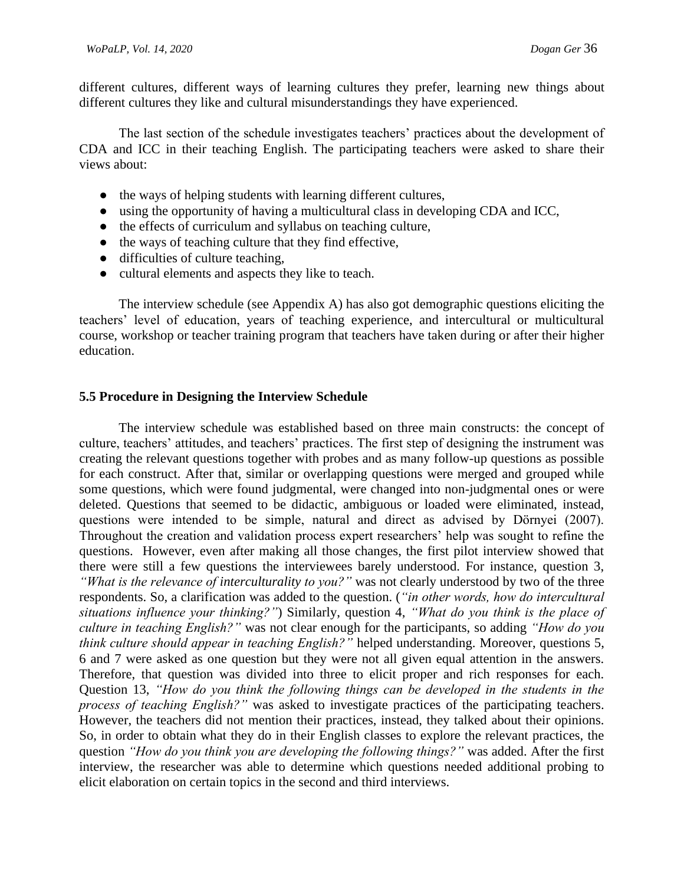different cultures, different ways of learning cultures they prefer, learning new things about different cultures they like and cultural misunderstandings they have experienced.

The last section of the schedule investigates teachers' practices about the development of CDA and ICC in their teaching English. The participating teachers were asked to share their views about:

- the ways of helping students with learning different cultures,
- using the opportunity of having a multicultural class in developing CDA and ICC,
- the effects of curriculum and syllabus on teaching culture,
- the ways of teaching culture that they find effective,
- difficulties of culture teaching,
- cultural elements and aspects they like to teach.

The interview schedule (see Appendix A) has also got demographic questions eliciting the teachers' level of education, years of teaching experience, and intercultural or multicultural course, workshop or teacher training program that teachers have taken during or after their higher education.

#### **5.5 Procedure in Designing the Interview Schedule**

The interview schedule was established based on three main constructs: the concept of culture, teachers' attitudes, and teachers' practices. The first step of designing the instrument was creating the relevant questions together with probes and as many follow-up questions as possible for each construct. After that, similar or overlapping questions were merged and grouped while some questions, which were found judgmental, were changed into non-judgmental ones or were deleted. Questions that seemed to be didactic, ambiguous or loaded were eliminated, instead, questions were intended to be simple, natural and direct as advised by Dörnyei (2007). Throughout the creation and validation process expert researchers' help was sought to refine the questions. However, even after making all those changes, the first pilot interview showed that there were still a few questions the interviewees barely understood. For instance, question 3, *"What is the relevance of interculturality to you?"* was not clearly understood by two of the three respondents. So, a clarification was added to the question. (*"in other words, how do intercultural situations influence your thinking?"*) Similarly, question 4, *"What do you think is the place of culture in teaching English?"* was not clear enough for the participants, so adding *"How do you think culture should appear in teaching English?"* helped understanding. Moreover, questions 5, 6 and 7 were asked as one question but they were not all given equal attention in the answers. Therefore, that question was divided into three to elicit proper and rich responses for each. Question 13, *"How do you think the following things can be developed in the students in the process of teaching English?"* was asked to investigate practices of the participating teachers. However, the teachers did not mention their practices, instead, they talked about their opinions. So, in order to obtain what they do in their English classes to explore the relevant practices, the question *"How do you think you are developing the following things?"* was added. After the first interview, the researcher was able to determine which questions needed additional probing to elicit elaboration on certain topics in the second and third interviews.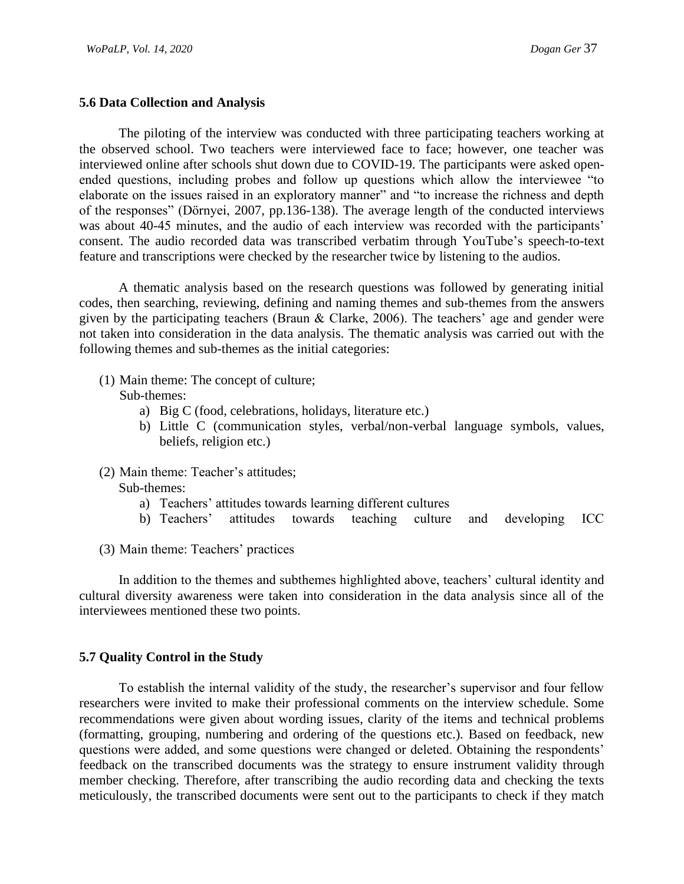### **5.6 Data Collection and Analysis**

The piloting of the interview was conducted with three participating teachers working at the observed school. Two teachers were interviewed face to face; however, one teacher was interviewed online after schools shut down due to COVID-19. The participants were asked openended questions, including probes and follow up questions which allow the interviewee "to elaborate on the issues raised in an exploratory manner" and "to increase the richness and depth of the responses" (Dörnyei, 2007, pp.136-138). The average length of the conducted interviews was about 40-45 minutes, and the audio of each interview was recorded with the participants' consent. The audio recorded data was transcribed verbatim through YouTube's speech-to-text feature and transcriptions were checked by the researcher twice by listening to the audios.

A thematic analysis based on the research questions was followed by generating initial codes, then searching, reviewing, defining and naming themes and sub-themes from the answers given by the participating teachers (Braun & Clarke, 2006). The teachers' age and gender were not taken into consideration in the data analysis. The thematic analysis was carried out with the following themes and sub-themes as the initial categories:

(1) Main theme: The concept of culture;

Sub-themes:

- a) Big C (food, celebrations, holidays, literature etc.)
- b) Little C (communication styles, verbal/non-verbal language symbols, values, beliefs, religion etc.)
- (2) Main theme: Teacher's attitudes; Sub-themes:
	- a) Teachers' attitudes towards learning different cultures
	- b) Teachers' attitudes towards teaching culture and developing ICC
- (3) Main theme: Teachers' practices

In addition to the themes and subthemes highlighted above, teachers' cultural identity and cultural diversity awareness were taken into consideration in the data analysis since all of the interviewees mentioned these two points.

## **5.7 Quality Control in the Study**

To establish the internal validity of the study, the researcher's supervisor and four fellow researchers were invited to make their professional comments on the interview schedule. Some recommendations were given about wording issues, clarity of the items and technical problems (formatting, grouping, numbering and ordering of the questions etc.). Based on feedback, new questions were added, and some questions were changed or deleted. Obtaining the respondents' feedback on the transcribed documents was the strategy to ensure instrument validity through member checking. Therefore, after transcribing the audio recording data and checking the texts meticulously, the transcribed documents were sent out to the participants to check if they match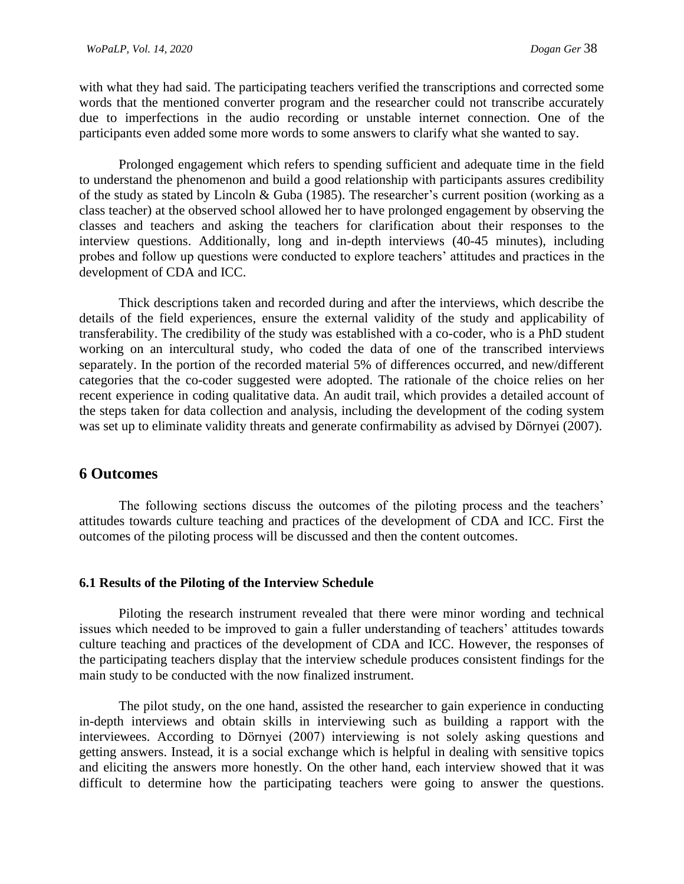with what they had said. The participating teachers verified the transcriptions and corrected some words that the mentioned converter program and the researcher could not transcribe accurately due to imperfections in the audio recording or unstable internet connection. One of the participants even added some more words to some answers to clarify what she wanted to say.

Prolonged engagement which refers to spending sufficient and adequate time in the field to understand the phenomenon and build a good relationship with participants assures credibility of the study as stated by Lincoln & Guba (1985). The researcher's current position (working as a class teacher) at the observed school allowed her to have prolonged engagement by observing the classes and teachers and asking the teachers for clarification about their responses to the interview questions. Additionally, long and in-depth interviews (40-45 minutes), including probes and follow up questions were conducted to explore teachers' attitudes and practices in the development of CDA and ICC.

Thick descriptions taken and recorded during and after the interviews, which describe the details of the field experiences, ensure the external validity of the study and applicability of transferability. The credibility of the study was established with a co-coder, who is a PhD student working on an intercultural study, who coded the data of one of the transcribed interviews separately. In the portion of the recorded material 5% of differences occurred, and new/different categories that the co-coder suggested were adopted. The rationale of the choice relies on her recent experience in coding qualitative data. An audit trail, which provides a detailed account of the steps taken for data collection and analysis, including the development of the coding system was set up to eliminate validity threats and generate confirmability as advised by Dörnyei (2007).

# **6 Outcomes**

The following sections discuss the outcomes of the piloting process and the teachers' attitudes towards culture teaching and practices of the development of CDA and ICC. First the outcomes of the piloting process will be discussed and then the content outcomes.

## **6.1 Results of the Piloting of the Interview Schedule**

Piloting the research instrument revealed that there were minor wording and technical issues which needed to be improved to gain a fuller understanding of teachers' attitudes towards culture teaching and practices of the development of CDA and ICC. However, the responses of the participating teachers display that the interview schedule produces consistent findings for the main study to be conducted with the now finalized instrument.

The pilot study, on the one hand, assisted the researcher to gain experience in conducting in-depth interviews and obtain skills in interviewing such as building a rapport with the interviewees. According to Dörnyei (2007) interviewing is not solely asking questions and getting answers. Instead, it is a social exchange which is helpful in dealing with sensitive topics and eliciting the answers more honestly. On the other hand, each interview showed that it was difficult to determine how the participating teachers were going to answer the questions.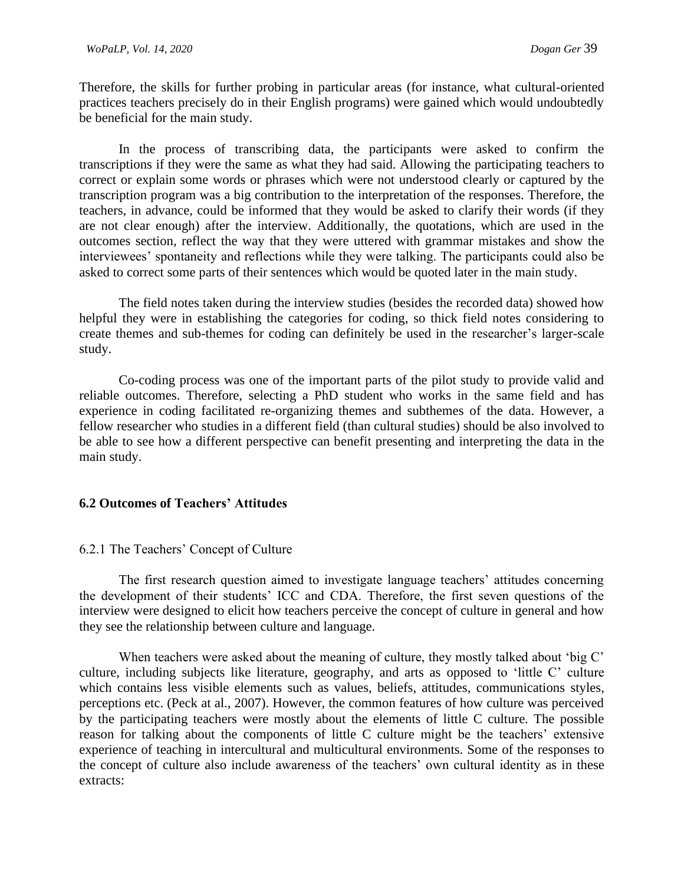Therefore, the skills for further probing in particular areas (for instance, what cultural-oriented practices teachers precisely do in their English programs) were gained which would undoubtedly be beneficial for the main study.

In the process of transcribing data, the participants were asked to confirm the transcriptions if they were the same as what they had said. Allowing the participating teachers to correct or explain some words or phrases which were not understood clearly or captured by the transcription program was a big contribution to the interpretation of the responses. Therefore, the teachers, in advance, could be informed that they would be asked to clarify their words (if they are not clear enough) after the interview. Additionally, the quotations, which are used in the outcomes section, reflect the way that they were uttered with grammar mistakes and show the interviewees' spontaneity and reflections while they were talking. The participants could also be asked to correct some parts of their sentences which would be quoted later in the main study.

The field notes taken during the interview studies (besides the recorded data) showed how helpful they were in establishing the categories for coding, so thick field notes considering to create themes and sub-themes for coding can definitely be used in the researcher's larger-scale study.

Co-coding process was one of the important parts of the pilot study to provide valid and reliable outcomes. Therefore, selecting a PhD student who works in the same field and has experience in coding facilitated re-organizing themes and subthemes of the data. However, a fellow researcher who studies in a different field (than cultural studies) should be also involved to be able to see how a different perspective can benefit presenting and interpreting the data in the main study.

# **6.2 Outcomes of Teachers' Attitudes**

#### 6.2.1 The Teachers' Concept of Culture

The first research question aimed to investigate language teachers' attitudes concerning the development of their students' ICC and CDA. Therefore, the first seven questions of the interview were designed to elicit how teachers perceive the concept of culture in general and how they see the relationship between culture and language.

When teachers were asked about the meaning of culture, they mostly talked about 'big C' culture, including subjects like literature, geography, and arts as opposed to 'little C' culture which contains less visible elements such as values, beliefs, attitudes, communications styles, perceptions etc. (Peck at al., 2007). However, the common features of how culture was perceived by the participating teachers were mostly about the elements of little C culture. The possible reason for talking about the components of little C culture might be the teachers' extensive experience of teaching in intercultural and multicultural environments. Some of the responses to the concept of culture also include awareness of the teachers' own cultural identity as in these extracts: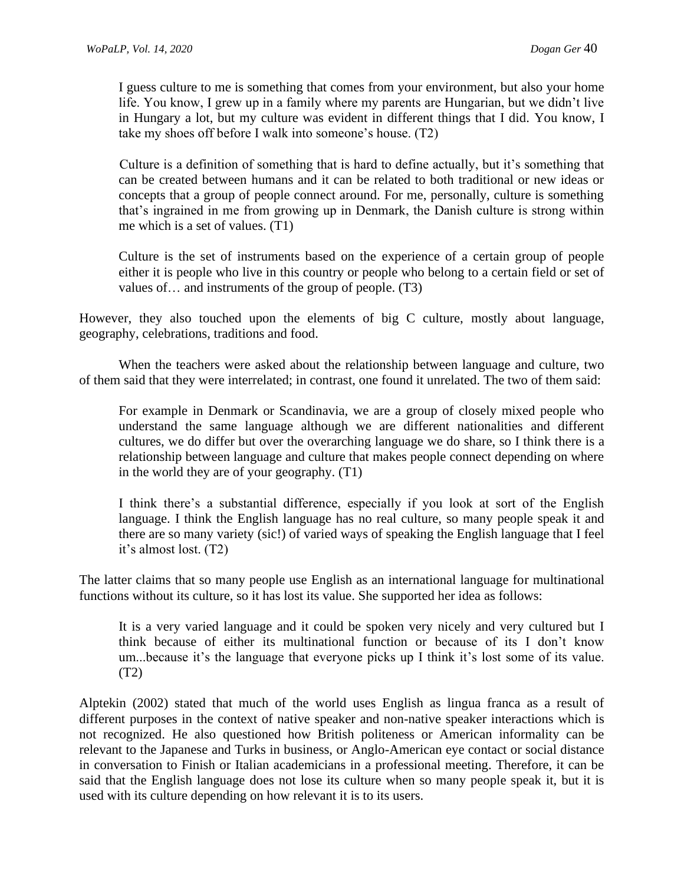I guess culture to me is something that comes from your environment, but also your home life. You know, I grew up in a family where my parents are Hungarian, but we didn't live in Hungary a lot, but my culture was evident in different things that I did. You know, I take my shoes off before I walk into someone's house. (T2)

Culture is a definition of something that is hard to define actually, but it's something that can be created between humans and it can be related to both traditional or new ideas or concepts that a group of people connect around. For me, personally, culture is something that's ingrained in me from growing up in Denmark, the Danish culture is strong within me which is a set of values. (T1)

Culture is the set of instruments based on the experience of a certain group of people either it is people who live in this country or people who belong to a certain field or set of values of… and instruments of the group of people. (T3)

However, they also touched upon the elements of big C culture, mostly about language, geography, celebrations, traditions and food.

When the teachers were asked about the relationship between language and culture, two of them said that they were interrelated; in contrast, one found it unrelated. The two of them said:

For example in Denmark or Scandinavia, we are a group of closely mixed people who understand the same language although we are different nationalities and different cultures, we do differ but over the overarching language we do share, so I think there is a relationship between language and culture that makes people connect depending on where in the world they are of your geography. (T1)

I think there's a substantial difference, especially if you look at sort of the English language. I think the English language has no real culture, so many people speak it and there are so many variety (sic!) of varied ways of speaking the English language that I feel it's almost lost. (T2)

The latter claims that so many people use English as an international language for multinational functions without its culture, so it has lost its value. She supported her idea as follows:

It is a very varied language and it could be spoken very nicely and very cultured but I think because of either its multinational function or because of its I don't know um...because it's the language that everyone picks up I think it's lost some of its value. (T2)

Alptekin (2002) stated that much of the world uses English as lingua franca as a result of different purposes in the context of native speaker and non-native speaker interactions which is not recognized. He also questioned how British politeness or American informality can be relevant to the Japanese and Turks in business, or Anglo-American eye contact or social distance in conversation to Finish or Italian academicians in a professional meeting. Therefore, it can be said that the English language does not lose its culture when so many people speak it, but it is used with its culture depending on how relevant it is to its users.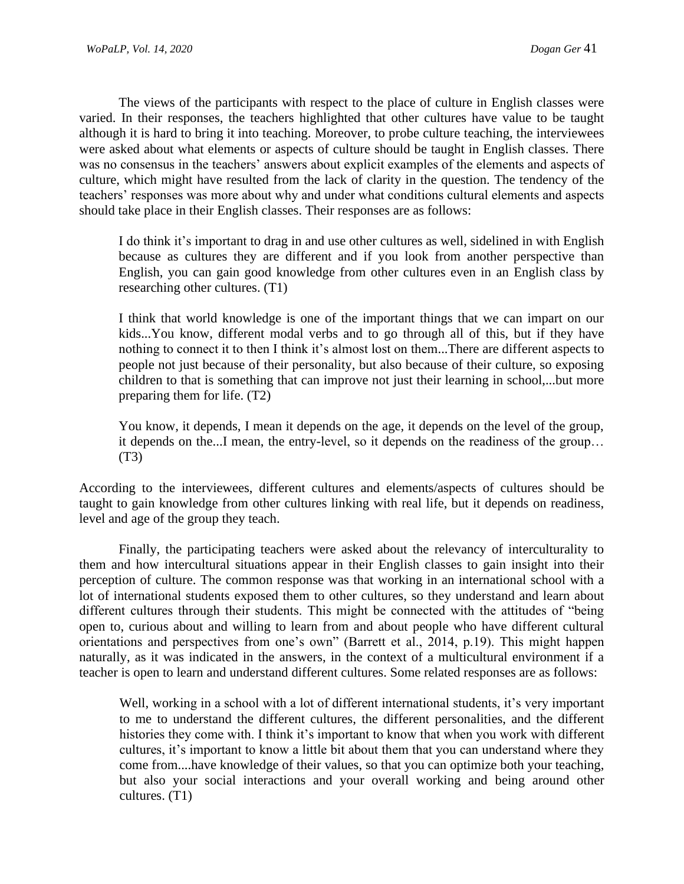The views of the participants with respect to the place of culture in English classes were varied. In their responses, the teachers highlighted that other cultures have value to be taught although it is hard to bring it into teaching. Moreover, to probe culture teaching, the interviewees were asked about what elements or aspects of culture should be taught in English classes. There was no consensus in the teachers' answers about explicit examples of the elements and aspects of culture, which might have resulted from the lack of clarity in the question. The tendency of the teachers' responses was more about why and under what conditions cultural elements and aspects should take place in their English classes. Their responses are as follows:

I do think it's important to drag in and use other cultures as well, sidelined in with English because as cultures they are different and if you look from another perspective than English, you can gain good knowledge from other cultures even in an English class by researching other cultures. (T1)

I think that world knowledge is one of the important things that we can impart on our kids...You know, different modal verbs and to go through all of this, but if they have nothing to connect it to then I think it's almost lost on them...There are different aspects to people not just because of their personality, but also because of their culture, so exposing children to that is something that can improve not just their learning in school,...but more preparing them for life. (T2)

You know, it depends, I mean it depends on the age, it depends on the level of the group, it depends on the...I mean, the entry-level, so it depends on the readiness of the group… (T3)

According to the interviewees, different cultures and elements/aspects of cultures should be taught to gain knowledge from other cultures linking with real life, but it depends on readiness, level and age of the group they teach.

Finally, the participating teachers were asked about the relevancy of interculturality to them and how intercultural situations appear in their English classes to gain insight into their perception of culture. The common response was that working in an international school with a lot of international students exposed them to other cultures, so they understand and learn about different cultures through their students. This might be connected with the attitudes of "being open to, curious about and willing to learn from and about people who have different cultural orientations and perspectives from one's own" (Barrett et al., 2014, p.19). This might happen naturally, as it was indicated in the answers, in the context of a multicultural environment if a teacher is open to learn and understand different cultures. Some related responses are as follows:

Well, working in a school with a lot of different international students, it's very important to me to understand the different cultures, the different personalities, and the different histories they come with. I think it's important to know that when you work with different cultures, it's important to know a little bit about them that you can understand where they come from....have knowledge of their values, so that you can optimize both your teaching, but also your social interactions and your overall working and being around other cultures. (T1)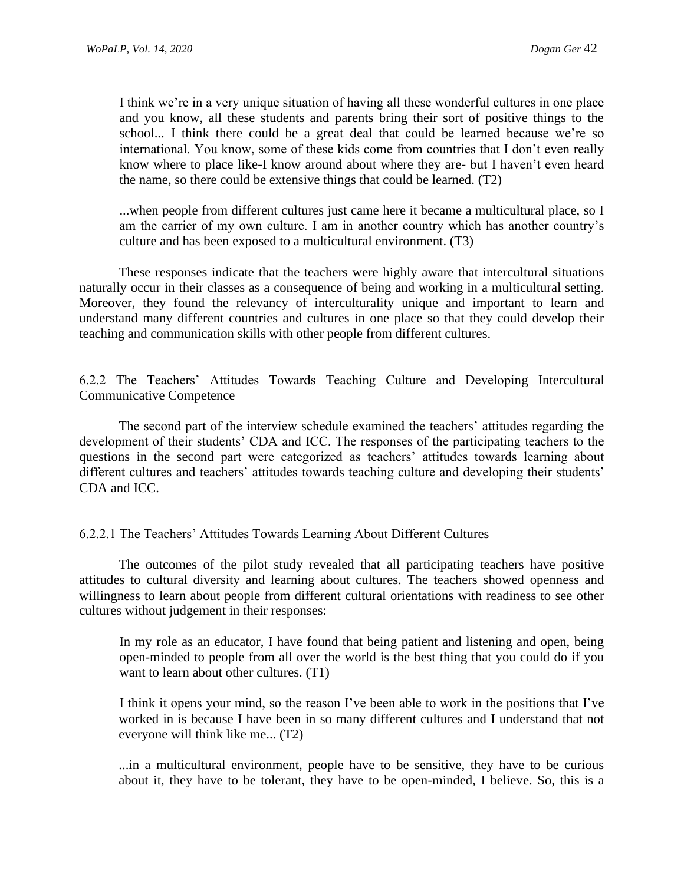I think we're in a very unique situation of having all these wonderful cultures in one place and you know, all these students and parents bring their sort of positive things to the school... I think there could be a great deal that could be learned because we're so international. You know, some of these kids come from countries that I don't even really know where to place like-I know around about where they are- but I haven't even heard the name, so there could be extensive things that could be learned. (T2)

...when people from different cultures just came here it became a multicultural place, so I am the carrier of my own culture. I am in another country which has another country's culture and has been exposed to a multicultural environment. (T3)

These responses indicate that the teachers were highly aware that intercultural situations naturally occur in their classes as a consequence of being and working in a multicultural setting. Moreover, they found the relevancy of interculturality unique and important to learn and understand many different countries and cultures in one place so that they could develop their teaching and communication skills with other people from different cultures.

6.2.2 The Teachers' Attitudes Towards Teaching Culture and Developing Intercultural Communicative Competence

The second part of the interview schedule examined the teachers' attitudes regarding the development of their students' CDA and ICC. The responses of the participating teachers to the questions in the second part were categorized as teachers' attitudes towards learning about different cultures and teachers' attitudes towards teaching culture and developing their students' CDA and ICC.

#### 6.2.2.1 The Teachers' Attitudes Towards Learning About Different Cultures

The outcomes of the pilot study revealed that all participating teachers have positive attitudes to cultural diversity and learning about cultures. The teachers showed openness and willingness to learn about people from different cultural orientations with readiness to see other cultures without judgement in their responses:

In my role as an educator, I have found that being patient and listening and open, being open-minded to people from all over the world is the best thing that you could do if you want to learn about other cultures. (T1)

I think it opens your mind, so the reason I've been able to work in the positions that I've worked in is because I have been in so many different cultures and I understand that not everyone will think like me... (T2)

...in a multicultural environment, people have to be sensitive, they have to be curious about it, they have to be tolerant, they have to be open-minded, I believe. So, this is a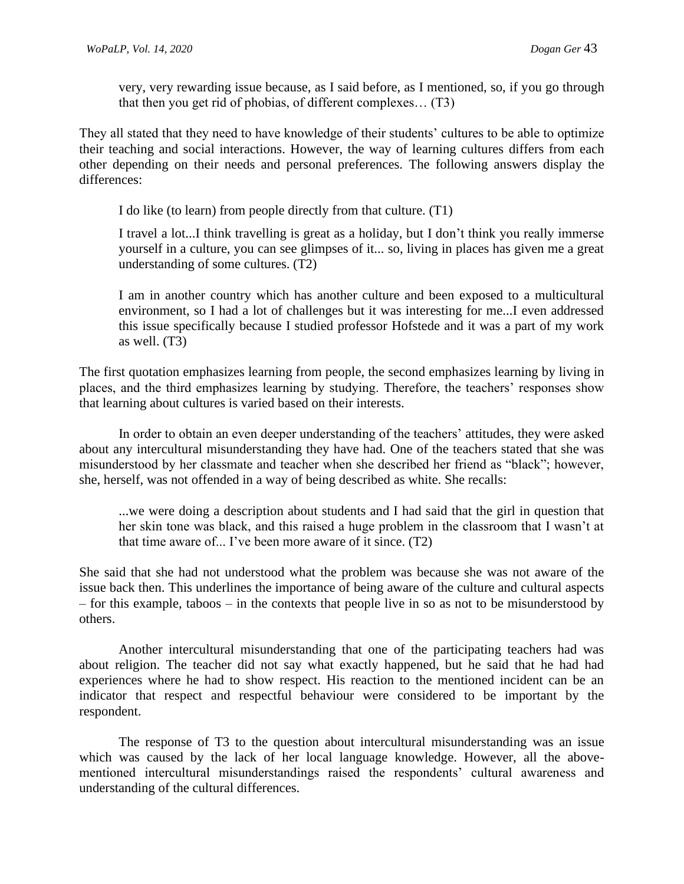very, very rewarding issue because, as I said before, as I mentioned, so, if you go through that then you get rid of phobias, of different complexes… (T3)

They all stated that they need to have knowledge of their students' cultures to be able to optimize their teaching and social interactions. However, the way of learning cultures differs from each other depending on their needs and personal preferences. The following answers display the differences:

I do like (to learn) from people directly from that culture. (T1)

I travel a lot...I think travelling is great as a holiday, but I don't think you really immerse yourself in a culture, you can see glimpses of it... so, living in places has given me a great understanding of some cultures. (T2)

I am in another country which has another culture and been exposed to a multicultural environment, so I had a lot of challenges but it was interesting for me...I even addressed this issue specifically because I studied professor Hofstede and it was a part of my work as well. (T3)

The first quotation emphasizes learning from people, the second emphasizes learning by living in places, and the third emphasizes learning by studying. Therefore, the teachers' responses show that learning about cultures is varied based on their interests.

In order to obtain an even deeper understanding of the teachers' attitudes, they were asked about any intercultural misunderstanding they have had. One of the teachers stated that she was misunderstood by her classmate and teacher when she described her friend as "black"; however, she, herself, was not offended in a way of being described as white. She recalls:

...we were doing a description about students and I had said that the girl in question that her skin tone was black, and this raised a huge problem in the classroom that I wasn't at that time aware of... I've been more aware of it since. (T2)

She said that she had not understood what the problem was because she was not aware of the issue back then. This underlines the importance of being aware of the culture and cultural aspects – for this example, taboos – in the contexts that people live in so as not to be misunderstood by others.

Another intercultural misunderstanding that one of the participating teachers had was about religion. The teacher did not say what exactly happened, but he said that he had had experiences where he had to show respect. His reaction to the mentioned incident can be an indicator that respect and respectful behaviour were considered to be important by the respondent.

The response of T3 to the question about intercultural misunderstanding was an issue which was caused by the lack of her local language knowledge. However, all the abovementioned intercultural misunderstandings raised the respondents' cultural awareness and understanding of the cultural differences.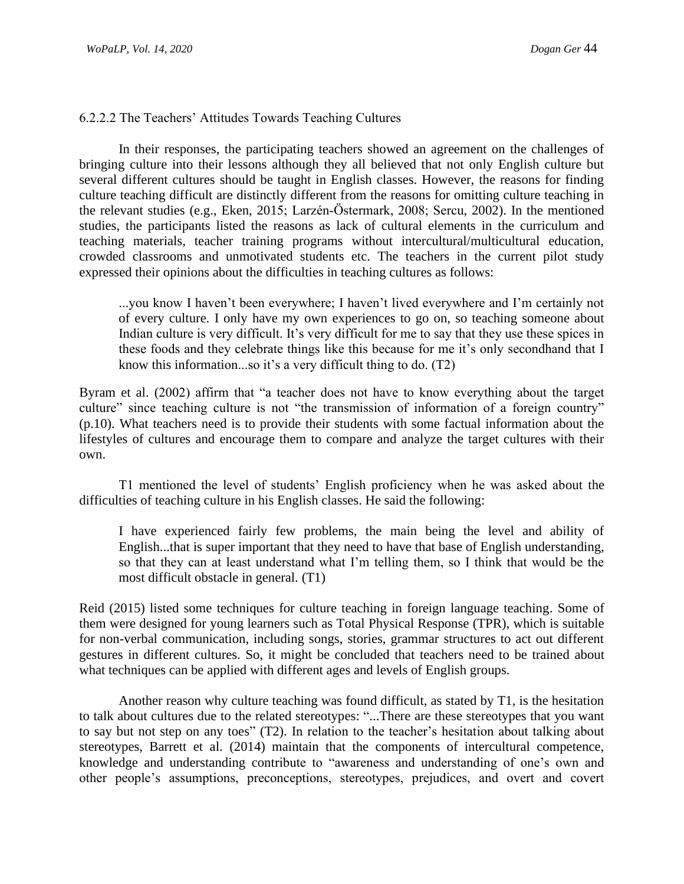#### 6.2.2.2 The Teachers' Attitudes Towards Teaching Cultures

In their responses, the participating teachers showed an agreement on the challenges of bringing culture into their lessons although they all believed that not only English culture but several different cultures should be taught in English classes. However, the reasons for finding culture teaching difficult are distinctly different from the reasons for omitting culture teaching in the relevant studies (e.g., Eken, 2015; Larzén‐Östermark, 2008; Sercu, 2002). In the mentioned studies, the participants listed the reasons as lack of cultural elements in the curriculum and teaching materials, teacher training programs without intercultural/multicultural education, crowded classrooms and unmotivated students etc. The teachers in the current pilot study expressed their opinions about the difficulties in teaching cultures as follows:

...you know I haven't been everywhere; I haven't lived everywhere and I'm certainly not of every culture. I only have my own experiences to go on, so teaching someone about Indian culture is very difficult. It's very difficult for me to say that they use these spices in these foods and they celebrate things like this because for me it's only secondhand that I know this information...so it's a very difficult thing to do. (T2)

Byram et al. (2002) affirm that "a teacher does not have to know everything about the target culture" since teaching culture is not "the transmission of information of a foreign country" (p.10). What teachers need is to provide their students with some factual information about the lifestyles of cultures and encourage them to compare and analyze the target cultures with their own.

T1 mentioned the level of students' English proficiency when he was asked about the difficulties of teaching culture in his English classes. He said the following:

I have experienced fairly few problems, the main being the level and ability of English...that is super important that they need to have that base of English understanding, so that they can at least understand what I'm telling them, so I think that would be the most difficult obstacle in general. (T1)

Reid (2015) listed some techniques for culture teaching in foreign language teaching. Some of them were designed for young learners such as Total Physical Response (TPR), which is suitable for non-verbal communication, including songs, stories, grammar structures to act out different gestures in different cultures. So, it might be concluded that teachers need to be trained about what techniques can be applied with different ages and levels of English groups.

Another reason why culture teaching was found difficult, as stated by T1, is the hesitation to talk about cultures due to the related stereotypes: "...There are these stereotypes that you want to say but not step on any toes" (T2). In relation to the teacher's hesitation about talking about stereotypes, Barrett et al. (2014) maintain that the components of intercultural competence, knowledge and understanding contribute to "awareness and understanding of one's own and other people's assumptions, preconceptions, stereotypes, prejudices, and overt and covert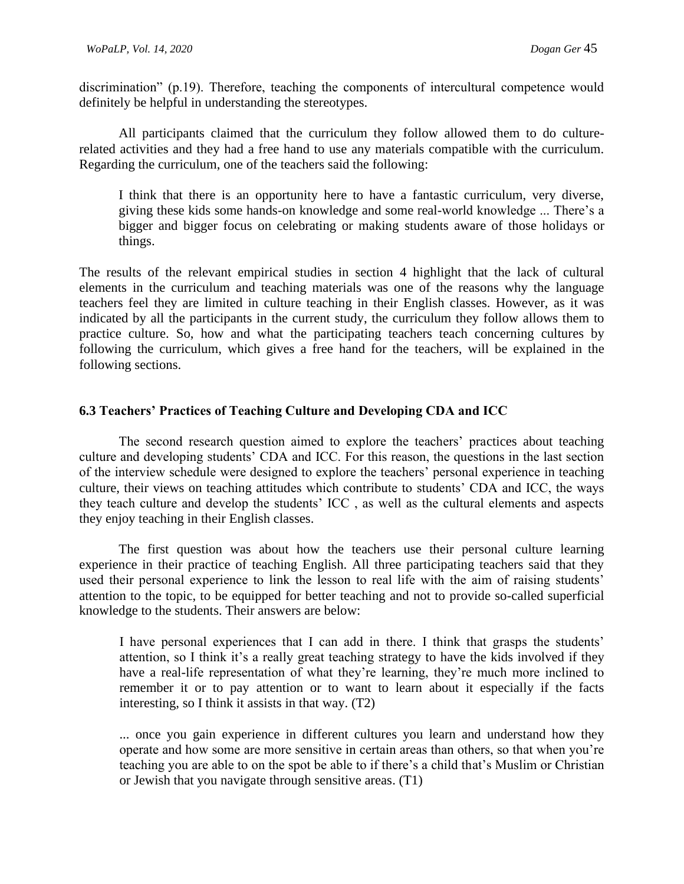discrimination" (p.19). Therefore, teaching the components of intercultural competence would definitely be helpful in understanding the stereotypes.

All participants claimed that the curriculum they follow allowed them to do culturerelated activities and they had a free hand to use any materials compatible with the curriculum. Regarding the curriculum, one of the teachers said the following:

I think that there is an opportunity here to have a fantastic curriculum, very diverse, giving these kids some hands-on knowledge and some real-world knowledge ... There's a bigger and bigger focus on celebrating or making students aware of those holidays or things.

The results of the relevant empirical studies in section 4 highlight that the lack of cultural elements in the curriculum and teaching materials was one of the reasons why the language teachers feel they are limited in culture teaching in their English classes. However, as it was indicated by all the participants in the current study, the curriculum they follow allows them to practice culture. So, how and what the participating teachers teach concerning cultures by following the curriculum, which gives a free hand for the teachers, will be explained in the following sections.

#### **6.3 Teachers' Practices of Teaching Culture and Developing CDA and ICC**

The second research question aimed to explore the teachers' practices about teaching culture and developing students' CDA and ICC. For this reason, the questions in the last section of the interview schedule were designed to explore the teachers' personal experience in teaching culture, their views on teaching attitudes which contribute to students' CDA and ICC, the ways they teach culture and develop the students' ICC , as well as the cultural elements and aspects they enjoy teaching in their English classes.

The first question was about how the teachers use their personal culture learning experience in their practice of teaching English. All three participating teachers said that they used their personal experience to link the lesson to real life with the aim of raising students' attention to the topic, to be equipped for better teaching and not to provide so-called superficial knowledge to the students. Their answers are below:

I have personal experiences that I can add in there. I think that grasps the students' attention, so I think it's a really great teaching strategy to have the kids involved if they have a real-life representation of what they're learning, they're much more inclined to remember it or to pay attention or to want to learn about it especially if the facts interesting, so I think it assists in that way. (T2)

... once you gain experience in different cultures you learn and understand how they operate and how some are more sensitive in certain areas than others, so that when you're teaching you are able to on the spot be able to if there's a child that's Muslim or Christian or Jewish that you navigate through sensitive areas. (T1)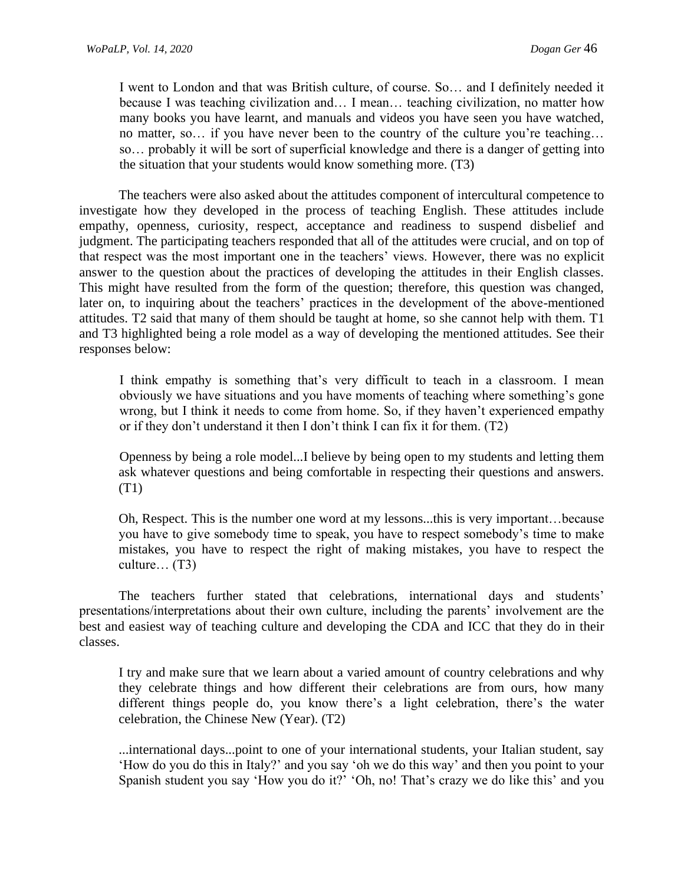I went to London and that was British culture, of course. So… and I definitely needed it because I was teaching civilization and… I mean… teaching civilization, no matter how many books you have learnt, and manuals and videos you have seen you have watched, no matter, so… if you have never been to the country of the culture you're teaching… so… probably it will be sort of superficial knowledge and there is a danger of getting into the situation that your students would know something more. (T3)

The teachers were also asked about the attitudes component of intercultural competence to investigate how they developed in the process of teaching English. These attitudes include empathy, openness, curiosity, respect, acceptance and readiness to suspend disbelief and judgment. The participating teachers responded that all of the attitudes were crucial, and on top of that respect was the most important one in the teachers' views. However, there was no explicit answer to the question about the practices of developing the attitudes in their English classes. This might have resulted from the form of the question; therefore, this question was changed, later on, to inquiring about the teachers' practices in the development of the above-mentioned attitudes. T2 said that many of them should be taught at home, so she cannot help with them. T1 and T3 highlighted being a role model as a way of developing the mentioned attitudes. See their responses below:

I think empathy is something that's very difficult to teach in a classroom. I mean obviously we have situations and you have moments of teaching where something's gone wrong, but I think it needs to come from home. So, if they haven't experienced empathy or if they don't understand it then I don't think I can fix it for them. (T2)

Openness by being a role model...I believe by being open to my students and letting them ask whatever questions and being comfortable in respecting their questions and answers. (T1)

Oh, Respect. This is the number one word at my lessons...this is very important…because you have to give somebody time to speak, you have to respect somebody's time to make mistakes, you have to respect the right of making mistakes, you have to respect the culture… (T3)

The teachers further stated that celebrations, international days and students' presentations/interpretations about their own culture, including the parents' involvement are the best and easiest way of teaching culture and developing the CDA and ICC that they do in their classes.

I try and make sure that we learn about a varied amount of country celebrations and why they celebrate things and how different their celebrations are from ours, how many different things people do, you know there's a light celebration, there's the water celebration, the Chinese New (Year). (T2)

...international days...point to one of your international students, your Italian student, say 'How do you do this in Italy?' and you say 'oh we do this way' and then you point to your Spanish student you say 'How you do it?' 'Oh, no! That's crazy we do like this' and you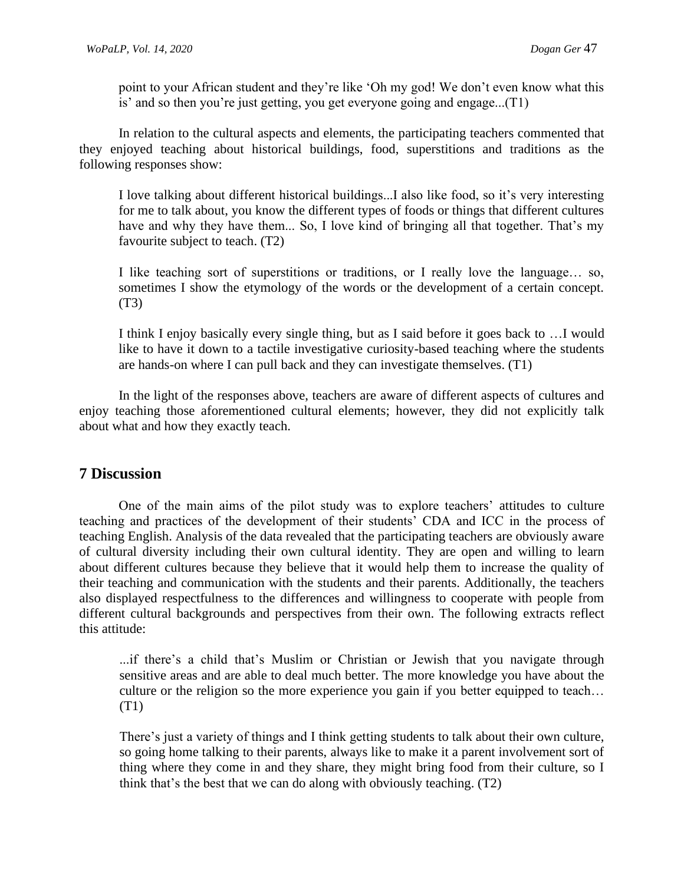point to your African student and they're like 'Oh my god! We don't even know what this is' and so then you're just getting, you get everyone going and engage...(T1)

In relation to the cultural aspects and elements, the participating teachers commented that they enjoyed teaching about historical buildings, food, superstitions and traditions as the following responses show:

I love talking about different historical buildings...I also like food, so it's very interesting for me to talk about, you know the different types of foods or things that different cultures have and why they have them... So, I love kind of bringing all that together. That's my favourite subject to teach. (T2)

I like teaching sort of superstitions or traditions, or I really love the language… so, sometimes I show the etymology of the words or the development of a certain concept. (T3)

I think I enjoy basically every single thing, but as I said before it goes back to …I would like to have it down to a tactile investigative curiosity-based teaching where the students are hands-on where I can pull back and they can investigate themselves. (T1)

In the light of the responses above, teachers are aware of different aspects of cultures and enjoy teaching those aforementioned cultural elements; however, they did not explicitly talk about what and how they exactly teach.

# **7 Discussion**

One of the main aims of the pilot study was to explore teachers' attitudes to culture teaching and practices of the development of their students' CDA and ICC in the process of teaching English. Analysis of the data revealed that the participating teachers are obviously aware of cultural diversity including their own cultural identity. They are open and willing to learn about different cultures because they believe that it would help them to increase the quality of their teaching and communication with the students and their parents. Additionally, the teachers also displayed respectfulness to the differences and willingness to cooperate with people from different cultural backgrounds and perspectives from their own. The following extracts reflect this attitude:

...if there's a child that's Muslim or Christian or Jewish that you navigate through sensitive areas and are able to deal much better. The more knowledge you have about the culture or the religion so the more experience you gain if you better equipped to teach… (T1)

There's just a variety of things and I think getting students to talk about their own culture, so going home talking to their parents, always like to make it a parent involvement sort of thing where they come in and they share, they might bring food from their culture, so I think that's the best that we can do along with obviously teaching. (T2)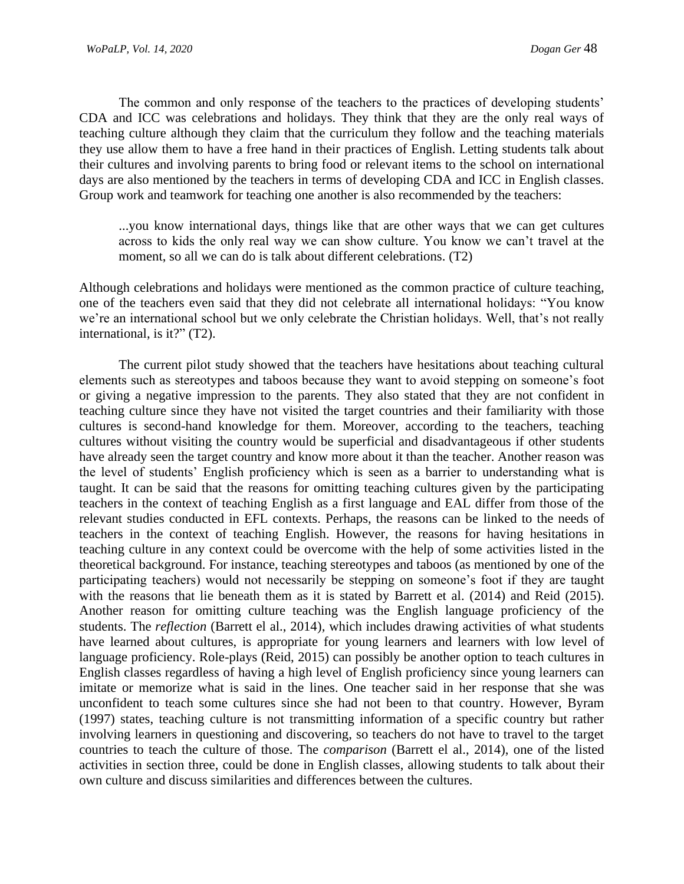The common and only response of the teachers to the practices of developing students' CDA and ICC was celebrations and holidays. They think that they are the only real ways of teaching culture although they claim that the curriculum they follow and the teaching materials they use allow them to have a free hand in their practices of English. Letting students talk about their cultures and involving parents to bring food or relevant items to the school on international days are also mentioned by the teachers in terms of developing CDA and ICC in English classes. Group work and teamwork for teaching one another is also recommended by the teachers:

...you know international days, things like that are other ways that we can get cultures across to kids the only real way we can show culture. You know we can't travel at the moment, so all we can do is talk about different celebrations. (T2)

Although celebrations and holidays were mentioned as the common practice of culture teaching, one of the teachers even said that they did not celebrate all international holidays: "You know we're an international school but we only celebrate the Christian holidays. Well, that's not really international, is it?" (T2).

The current pilot study showed that the teachers have hesitations about teaching cultural elements such as stereotypes and taboos because they want to avoid stepping on someone's foot or giving a negative impression to the parents. They also stated that they are not confident in teaching culture since they have not visited the target countries and their familiarity with those cultures is second-hand knowledge for them. Moreover, according to the teachers, teaching cultures without visiting the country would be superficial and disadvantageous if other students have already seen the target country and know more about it than the teacher. Another reason was the level of students' English proficiency which is seen as a barrier to understanding what is taught. It can be said that the reasons for omitting teaching cultures given by the participating teachers in the context of teaching English as a first language and EAL differ from those of the relevant studies conducted in EFL contexts. Perhaps, the reasons can be linked to the needs of teachers in the context of teaching English. However, the reasons for having hesitations in teaching culture in any context could be overcome with the help of some activities listed in the theoretical background. For instance, teaching stereotypes and taboos (as mentioned by one of the participating teachers) would not necessarily be stepping on someone's foot if they are taught with the reasons that lie beneath them as it is stated by Barrett et al. (2014) and Reid (2015). Another reason for omitting culture teaching was the English language proficiency of the students. The *reflection* (Barrett el al., 2014)*,* which includes drawing activities of what students have learned about cultures, is appropriate for young learners and learners with low level of language proficiency. Role-plays (Reid, 2015) can possibly be another option to teach cultures in English classes regardless of having a high level of English proficiency since young learners can imitate or memorize what is said in the lines. One teacher said in her response that she was unconfident to teach some cultures since she had not been to that country. However, Byram (1997) states, teaching culture is not transmitting information of a specific country but rather involving learners in questioning and discovering, so teachers do not have to travel to the target countries to teach the culture of those. The *comparison* (Barrett el al., 2014), one of the listed activities in section three, could be done in English classes, allowing students to talk about their own culture and discuss similarities and differences between the cultures.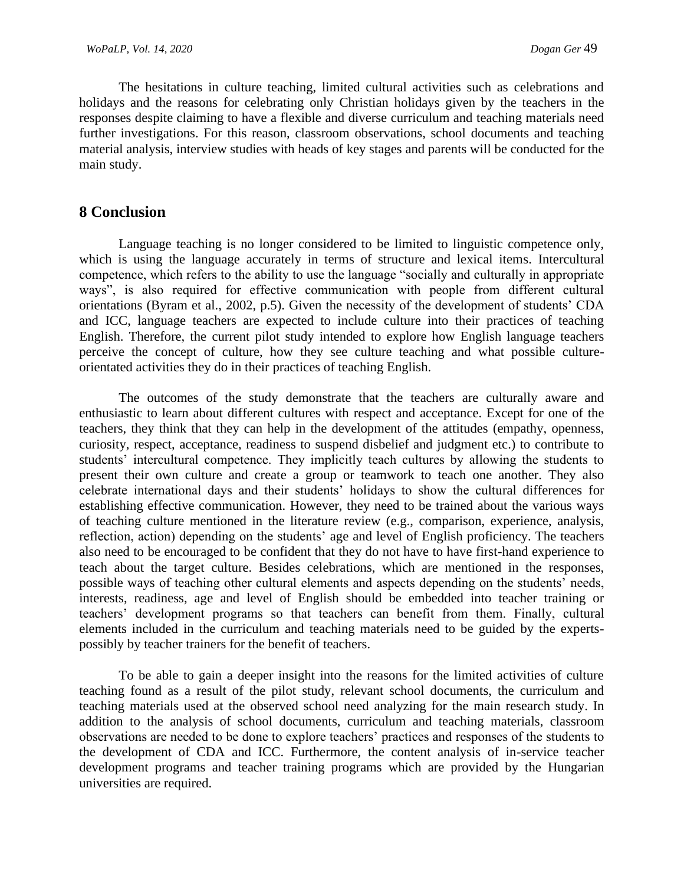The hesitations in culture teaching, limited cultural activities such as celebrations and holidays and the reasons for celebrating only Christian holidays given by the teachers in the responses despite claiming to have a flexible and diverse curriculum and teaching materials need further investigations. For this reason, classroom observations, school documents and teaching material analysis, interview studies with heads of key stages and parents will be conducted for the main study.

## **8 Conclusion**

Language teaching is no longer considered to be limited to linguistic competence only, which is using the language accurately in terms of structure and lexical items. Intercultural competence, which refers to the ability to use the language "socially and culturally in appropriate ways", is also required for effective communication with people from different cultural orientations (Byram et al., 2002, p.5). Given the necessity of the development of students' CDA and ICC, language teachers are expected to include culture into their practices of teaching English. Therefore, the current pilot study intended to explore how English language teachers perceive the concept of culture, how they see culture teaching and what possible cultureorientated activities they do in their practices of teaching English.

The outcomes of the study demonstrate that the teachers are culturally aware and enthusiastic to learn about different cultures with respect and acceptance. Except for one of the teachers, they think that they can help in the development of the attitudes (empathy, openness, curiosity, respect, acceptance, readiness to suspend disbelief and judgment etc.) to contribute to students' intercultural competence. They implicitly teach cultures by allowing the students to present their own culture and create a group or teamwork to teach one another. They also celebrate international days and their students' holidays to show the cultural differences for establishing effective communication. However, they need to be trained about the various ways of teaching culture mentioned in the literature review (e.g., comparison, experience, analysis, reflection, action) depending on the students' age and level of English proficiency. The teachers also need to be encouraged to be confident that they do not have to have first-hand experience to teach about the target culture. Besides celebrations, which are mentioned in the responses, possible ways of teaching other cultural elements and aspects depending on the students' needs, interests, readiness, age and level of English should be embedded into teacher training or teachers' development programs so that teachers can benefit from them. Finally, cultural elements included in the curriculum and teaching materials need to be guided by the expertspossibly by teacher trainers for the benefit of teachers.

To be able to gain a deeper insight into the reasons for the limited activities of culture teaching found as a result of the pilot study, relevant school documents, the curriculum and teaching materials used at the observed school need analyzing for the main research study. In addition to the analysis of school documents, curriculum and teaching materials, classroom observations are needed to be done to explore teachers' practices and responses of the students to the development of CDA and ICC. Furthermore, the content analysis of in-service teacher development programs and teacher training programs which are provided by the Hungarian universities are required.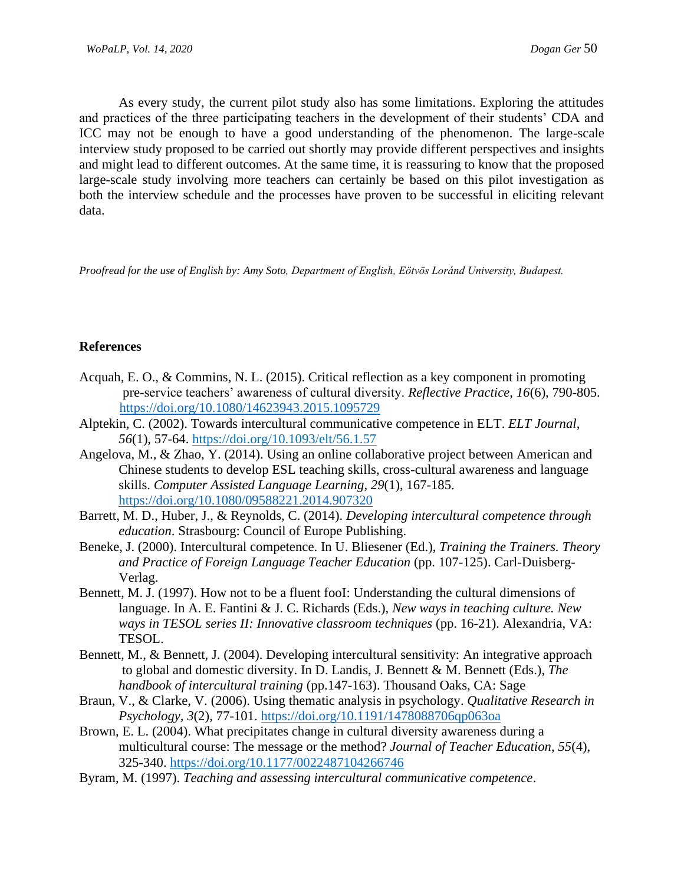As every study, the current pilot study also has some limitations. Exploring the attitudes and practices of the three participating teachers in the development of their students' CDA and ICC may not be enough to have a good understanding of the phenomenon. The large-scale interview study proposed to be carried out shortly may provide different perspectives and insights and might lead to different outcomes. At the same time, it is reassuring to know that the proposed large-scale study involving more teachers can certainly be based on this pilot investigation as both the interview schedule and the processes have proven to be successful in eliciting relevant data.

*Proofread for the use of English by: Amy Soto, Department of English, Eötvös Loránd University, Budapest.*

#### **References**

- Acquah, E. O., & Commins, N. L. (2015). Critical reflection as a key component in promoting pre-service teachers' awareness of cultural diversity. *Reflective Practice*, *16*(6), 790-805. <https://doi.org/10.1080/14623943.2015.1095729>
- Alptekin, C. (2002). Towards intercultural communicative competence in ELT. *ELT Journal*, *56*(1), 57-64. <https://doi.org/10.1093/elt/56.1.57>
- Angelova, M., & Zhao, Y. (2014). Using an online collaborative project between American and Chinese students to develop ESL teaching skills, cross-cultural awareness and language skills. *Computer Assisted Language Learning*, *29*(1), 167-185. <https://doi.org/10.1080/09588221.2014.907320>
- Barrett, M. D., Huber, J., & Reynolds, C. (2014). *Developing intercultural competence through education*. Strasbourg: Council of Europe Publishing.
- Beneke, J. (2000). Intercultural competence. In U. Bliesener (Ed.), *Training the Trainers. Theory and Practice of Foreign Language Teacher Education* (pp. 107-125). Carl-Duisberg-Verlag.
- Bennett, M. J. (1997). How not to be a fluent fooI: Understanding the cultural dimensions of language. In A. E. Fantini & J. C. Richards (Eds.), *New ways in teaching culture. New ways in TESOL series II: Innovative classroom techniques* (pp. 16-21). Alexandria, VA: TESOL.
- Bennett, M., & Bennett, J. (2004). Developing intercultural sensitivity: An integrative approach to global and domestic diversity. In D. Landis, J. Bennett & M. Bennett (Eds.), *The handbook of intercultural training* (pp.147-163). Thousand Oaks, CA: Sage
- Braun, V., & Clarke, V. (2006). Using thematic analysis in psychology. *Qualitative Research in Psychology, 3*(2), 77-101. <https://doi.org/10.1191/1478088706qp063oa>
- Brown, E. L. (2004). What precipitates change in cultural diversity awareness during a multicultural course: The message or the method? *Journal of Teacher Education*, *55*(4), 325-340. [https://doi.org/10.1177/0022487104266746](https://doi.org/10.1177%2F0022487104266746)
- Byram, M. (1997). *Teaching and assessing intercultural communicative competence*.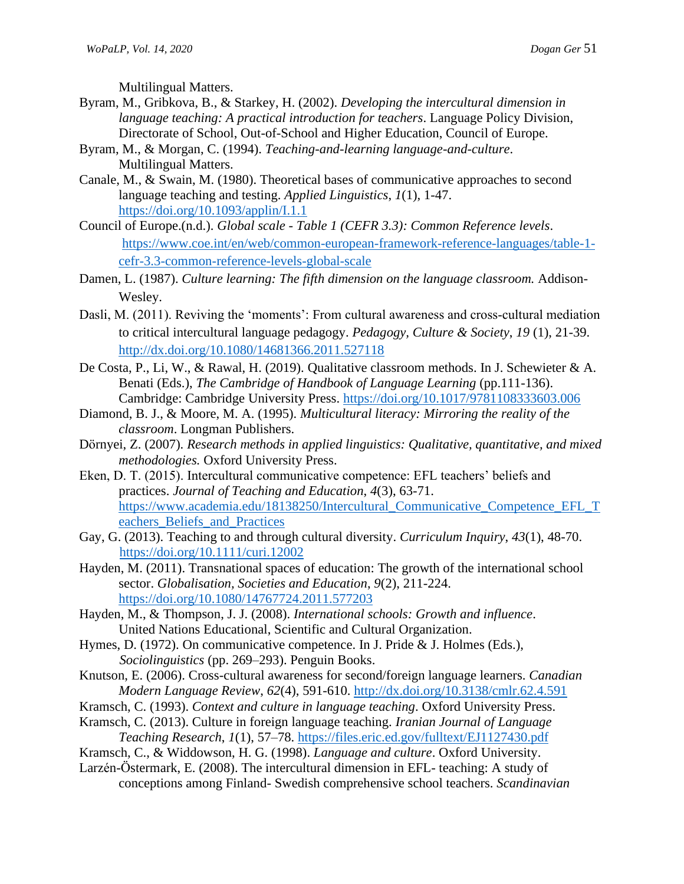Multilingual Matters.

- Byram, M., Gribkova, B., & Starkey, H. (2002). *Developing the intercultural dimension in language teaching: A practical introduction for teachers*. Language Policy Division, Directorate of School, Out-of-School and Higher Education, Council of Europe.
- Byram, M., & Morgan, C. (1994). *Teaching-and-learning language-and-culture*. Multilingual Matters.
- Canale, M., & Swain, M. (1980). Theoretical bases of communicative approaches to second language teaching and testing. *Applied Linguistics*, *1*(1), 1-47. <https://doi.org/10.1093/applin/I.1.1>
- Council of Europe.(n.d.). *Global scale - Table 1 (CEFR 3.3): Common Reference levels*. [https://www.coe.int/en/web/common-european-framework-reference-languages/table-1](https://www.coe.int/en/web/common-european-framework-reference-languages/table-1-%20%20cefr-3.3-common-reference-levels-global-scale)  [cefr-3.3-common-reference-levels-global-scale](https://www.coe.int/en/web/common-european-framework-reference-languages/table-1-%20%20cefr-3.3-common-reference-levels-global-scale)
- Damen, L. (1987). *Culture learning: The fifth dimension on the language classroom.* Addison-Wesley.
- Dasli, M. (2011). Reviving the 'moments': From cultural awareness and cross-cultural mediation to critical intercultural language pedagogy. *Pedagogy, Culture & Society*, *19* (1), 21-39. <http://dx.doi.org/10.1080/14681366.2011.527118>
- De Costa, P., Li, W., & Rawal, H. (2019). Qualitative classroom methods. In J. Schewieter & A. Benati (Eds.), *The Cambridge of Handbook of Language Learning* (pp.111-136). Cambridge: Cambridge University Press.<https://doi.org/10.1017/9781108333603.006>
- Diamond, B. J., & Moore, M. A. (1995). *Multicultural literacy: Mirroring the reality of the classroom*. Longman Publishers.
- Dörnyei, Z. (2007). *Research methods in applied linguistics: Qualitative, quantitative, and mixed methodologies.* Oxford University Press.
- Eken, D. T. (2015). Intercultural communicative competence: EFL teachers' beliefs and practices. *Journal of Teaching and Education*, *4*(3), 63-71. [https://www.academia.edu/18138250/Intercultural\\_Communicative\\_Competence\\_EFL\\_T](https://www.academia.edu/18138250/Intercultural_Communicative_Competence_EFL_Teachers_Beliefs_and_Practices) [eachers\\_Beliefs\\_and\\_Practices](https://www.academia.edu/18138250/Intercultural_Communicative_Competence_EFL_Teachers_Beliefs_and_Practices)
- Gay, G. (2013). Teaching to and through cultural diversity. *Curriculum Inquiry*, *43*(1), 48-70. <https://doi.org/10.1111/curi.12002>
- Hayden, M. (2011). Transnational spaces of education: The growth of the international school sector. *Globalisation, Societies and Education*, *9*(2), 211-224. <https://doi.org/10.1080/14767724.2011.577203>
- Hayden, M., & Thompson, J. J. (2008). *International schools: Growth and influence*. United Nations Educational, Scientific and Cultural Organization.
- Hymes, D. (1972). On communicative competence. In J. Pride & J. Holmes (Eds.), *Sociolinguistics* (pp. 269–293). Penguin Books.
- Knutson, E. (2006). Cross-cultural awareness for second/foreign language learners. *Canadian Modern Language Review*, *62*(4), 591-610. <http://dx.doi.org/10.3138/cmlr.62.4.591>
- Kramsch, C. (1993). *Context and culture in language teaching*. Oxford University Press.
- Kramsch, C. (2013). Culture in foreign language teaching. *Iranian Journal of Language Teaching Research*, *1*(1), 57–78.<https://files.eric.ed.gov/fulltext/EJ1127430.pdf>
- Kramsch, C., & Widdowson, H. G. (1998). *Language and culture*. Oxford University.
- Larzén-Östermark, E. (2008). The intercultural dimension in EFL- teaching: A study of conceptions among Finland- Swedish comprehensive school teachers. *Scandinavian*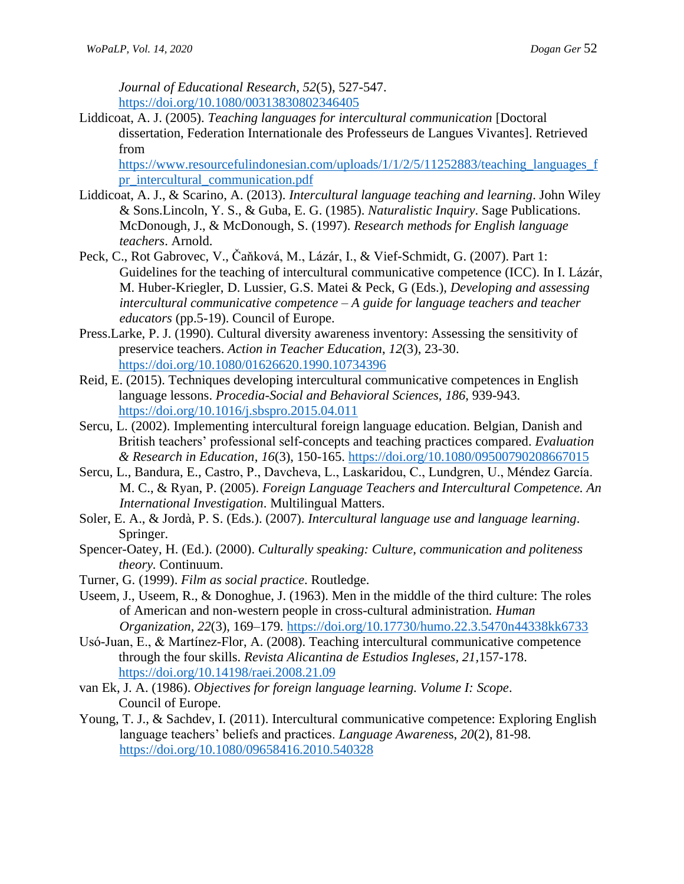*Journal of Educational Research, 52*(5), 527-547. <https://doi.org/10.1080/00313830802346405>

Liddicoat, A. J. (2005). *Teaching languages for intercultural communication* [Doctoral dissertation, Federation Internationale des Professeurs de Langues Vivantes]. Retrieved from

[https://www.resourcefulindonesian.com/uploads/1/1/2/5/11252883/teaching\\_languages\\_f](https://www.resourcefulindonesian.com/uploads/1/1/2/5/11252883/teaching_languages_fpr_intercultural_communication.pdf) [pr\\_intercultural\\_communication.pdf](https://www.resourcefulindonesian.com/uploads/1/1/2/5/11252883/teaching_languages_fpr_intercultural_communication.pdf)

- Liddicoat, A. J., & Scarino, A. (2013). *Intercultural language teaching and learning*. John Wiley & Sons.Lincoln, Y. S., & Guba, E. G. (1985)[.](http://books.google.com/books?hl=en&lr=&id=2oA9aWlNeooC&oi=fnd&pg=PA5&sig=GoKaBo0eIoPy4qeqRyuozZo1CqM&dq=naturalistic+inquiry&prev=http://scholar.google.com/scholar%3Fq%3Dnaturalistic%2Binquiry%26num%3D100%26hl%3Den%26lr%3D) *Naturalistic Inquiry*. Sage Publications. McDonough, J., & McDonough, S. (1997). *Research methods for English language teachers*. Arnold.
- Peck, C., Rot Gabrovec, V., Čaňková, M., Lázár, I., & Vief-Schmidt, G. (2007). Part 1: Guidelines for the teaching of intercultural communicative competence (ICC). In I. Lázár, M. Huber-Kriegler, D. Lussier, G.S. Matei & Peck, G (Eds.), *Developing and assessing intercultural communicative competence – A guide for language teachers and teacher educators* (pp.5-19). Council of Europe.
- Press.Larke, P. J. (1990). Cultural diversity awareness inventory: Assessing the sensitivity of preservice teachers. *Action in Teacher Education*, *12*(3), 23-30. <https://doi.org/10.1080/01626620.1990.10734396>
- Reid, E. (2015). Techniques developing intercultural communicative competences in English language lessons. *Procedia-Social and Behavioral Sciences*, *186*, 939-943. <https://doi.org/10.1016/j.sbspro.2015.04.011>
- Sercu, L. (2002). Implementing intercultural foreign language education. Belgian, Danish and British teachers' professional self-concepts and teaching practices compared. *Evaluation & Research in Education*, *16*(3), 150-165. <https://doi.org/10.1080/09500790208667015>
- Sercu, L., Bandura, E., Castro, P., Davcheva, L., Laskaridou, C., Lundgren, U., Méndez García. M. C., & Ryan, P. (2005). *Foreign Language Teachers and Intercultural Competence. An International Investigation*. Multilingual Matters.
- Soler, E. A., & Jordà, P. S. (Eds.). (2007). *Intercultural language use and language learning*. Springer.
- Spencer-Oatey, H. (Ed.). (2000). *Culturally speaking: Culture, communication and politeness theory.* Continuum.
- Turner, G. (1999). *Film as social practice*. Routledge.
- Useem, J., Useem, R., & Donoghue, J. (1963). Men in the middle of the third culture: The roles of American and non-western people in cross-cultural administration*. Human Organization, 22*(3), 169–179*.* <https://doi.org/10.17730/humo.22.3.5470n44338kk6733>
- Usó-Juan, E., & Martínez-Flor, A. (2008). Teaching intercultural communicative competence through the four skills. *Revista Alicantina de Estudios Ingleses, 21,*157-178. <https://doi.org/10.14198/raei.2008.21.09>
- van Ek, J. A. (1986). *Objectives for foreign language learning. Volume I: Scope*. Council of Europe.
- Young, T. J., & Sachdev, I. (2011). Intercultural communicative competence: Exploring English language teachers' beliefs and practices. *Language Awarenes*s, *20*(2), 81-98. <https://doi.org/10.1080/09658416.2010.540328>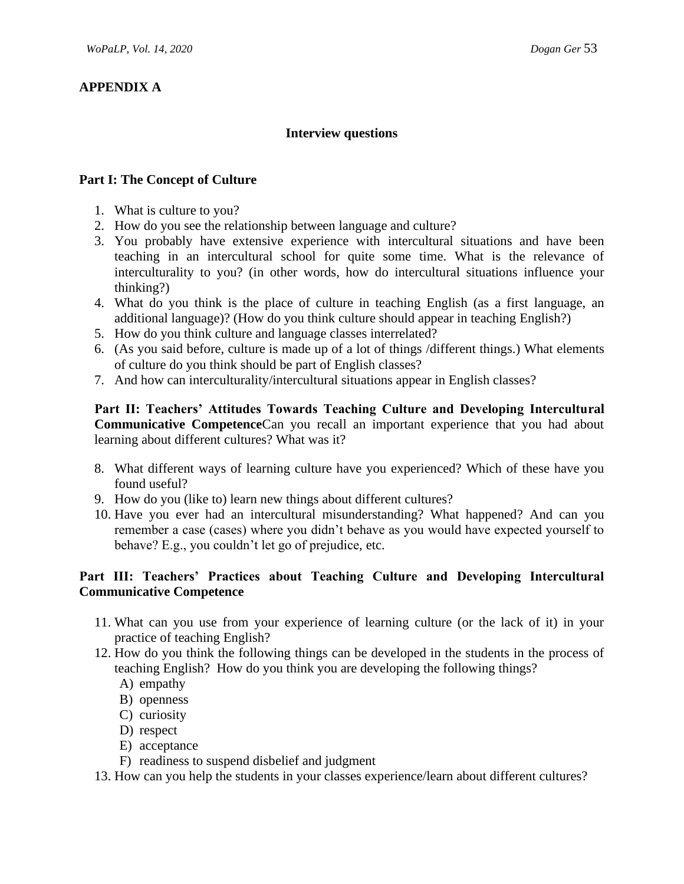# **APPENDIX A**

## **Interview questions**

#### **Part I: The Concept of Culture**

- 1. What is culture to you?
- 2. How do you see the relationship between language and culture?
- 3. You probably have extensive experience with intercultural situations and have been teaching in an intercultural school for quite some time. What is the relevance of interculturality to you? (in other words, how do intercultural situations influence your thinking?)
- 4. What do you think is the place of culture in teaching English (as a first language, an additional language)? (How do you think culture should appear in teaching English?)
- 5. How do you think culture and language classes interrelated?
- 6. (As you said before, culture is made up of a lot of things /different things.) What elements of culture do you think should be part of English classes?
- 7. And how can interculturality/intercultural situations appear in English classes?

**Part II: Teachers' Attitudes Towards Teaching Culture and Developing Intercultural Communicative Competence**Can you recall an important experience that you had about learning about different cultures? What was it?

- 8. What different ways of learning culture have you experienced? Which of these have you found useful?
- 9. How do you (like to) learn new things about different cultures?
- 10. Have you ever had an intercultural misunderstanding? What happened? And can you remember a case (cases) where you didn't behave as you would have expected yourself to behave? E.g., you couldn't let go of prejudice, etc.

# **Part III: Teachers' Practices about Teaching Culture and Developing Intercultural Communicative Competence**

- 11. What can you use from your experience of learning culture (or the lack of it) in your practice of teaching English?
- 12. How do you think the following things can be developed in the students in the process of teaching English? How do you think you are developing the following things?
	- A) empathy
	- B) openness
	- C) curiosity
	- D) respect
	- E) acceptance
	- F) readiness to suspend disbelief and judgment
- 13. How can you help the students in your classes experience/learn about different cultures?